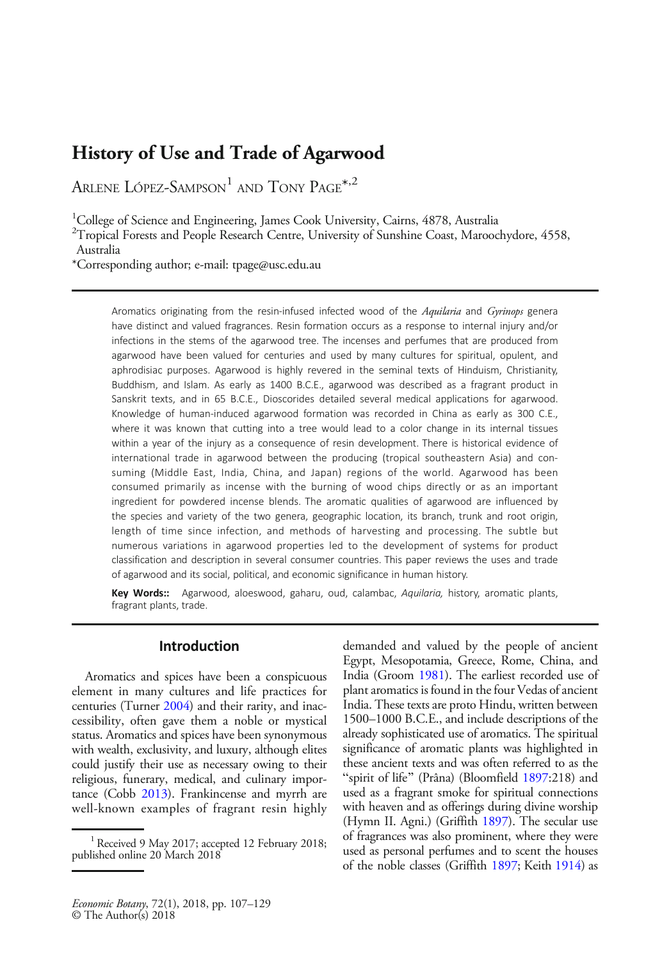# History of Use and Trade of Agarwood

ARLENE LÓPEZ-SAMPSON<sup>1</sup> AND TONY PAGE<sup>\*,2</sup>

<sup>1</sup>College of Science and Engineering, James Cook University, Cairns, 4878, Australia

<sup>2</sup>Tropical Forests and People Research Centre, University of Sunshine Coast, Maroochydore, 4558, Australia

\*Corresponding author; e-mail: tpage@usc.edu.au

Aromatics originating from the resin-infused infected wood of the Aquilaria and Gyrinops genera have distinct and valued fragrances. Resin formation occurs as a response to internal injury and/or infections in the stems of the agarwood tree. The incenses and perfumes that are produced from agarwood have been valued for centuries and used by many cultures for spiritual, opulent, and aphrodisiac purposes. Agarwood is highly revered in the seminal texts of Hinduism, Christianity, Buddhism, and Islam. As early as 1400 B.C.E., agarwood was described as a fragrant product in Sanskrit texts, and in 65 B.C.E., Dioscorides detailed several medical applications for agarwood. Knowledge of human-induced agarwood formation was recorded in China as early as 300 C.E., where it was known that cutting into a tree would lead to a color change in its internal tissues within a year of the injury as a consequence of resin development. There is historical evidence of international trade in agarwood between the producing (tropical southeastern Asia) and consuming (Middle East, India, China, and Japan) regions of the world. Agarwood has been consumed primarily as incense with the burning of wood chips directly or as an important ingredient for powdered incense blends. The aromatic qualities of agarwood are influenced by the species and variety of the two genera, geographic location, its branch, trunk and root origin, length of time since infection, and methods of harvesting and processing. The subtle but numerous variations in agarwood properties led to the development of systems for product classification and description in several consumer countries. This paper reviews the uses and trade of agarwood and its social, political, and economic significance in human history.

Key Words:: Agarwood, aloeswood, gaharu, oud, calambac, Aquilaria, history, aromatic plants, fragrant plants, trade.

# Introduction

Aromatics and spices have been a conspicuous element in many cultures and life practices for centuries (Turner [2004](#page-21-0)) and their rarity, and inaccessibility, often gave them a noble or mystical status. Aromatics and spices have been synonymous with wealth, exclusivity, and luxury, although elites could justify their use as necessary owing to their religious, funerary, medical, and culinary importance (Cobb [2013\)](#page-17-0). Frankincense and myrrh are well-known examples of fragrant resin highly demanded and valued by the people of ancient Egypt, Mesopotamia, Greece, Rome, China, and India (Groom [1981](#page-18-0)). The earliest recorded use of plant aromatics is found in the four Vedas of ancient India. These texts are proto Hindu, written between 1500–1000 B.C.E., and include descriptions of the already sophisticated use of aromatics. The spiritual significance of aromatic plants was highlighted in these ancient texts and was often referred to as the "spirit of life" (Prâna) (Bloomfield [1897](#page-16-0):218) and used as a fragrant smoke for spiritual connections with heaven and as offerings during divine worship (Hymn II. Agni.) (Griffith [1897\)](#page-18-0). The secular use of fragrances was also prominent, where they were used as personal perfumes and to scent the houses of the noble classes (Griffith [1897;](#page-18-0) Keith [1914\)](#page-19-0) as

<sup>&</sup>lt;sup>1</sup> Received 9 May 2017; accepted 12 February 2018; published online 20 March 2018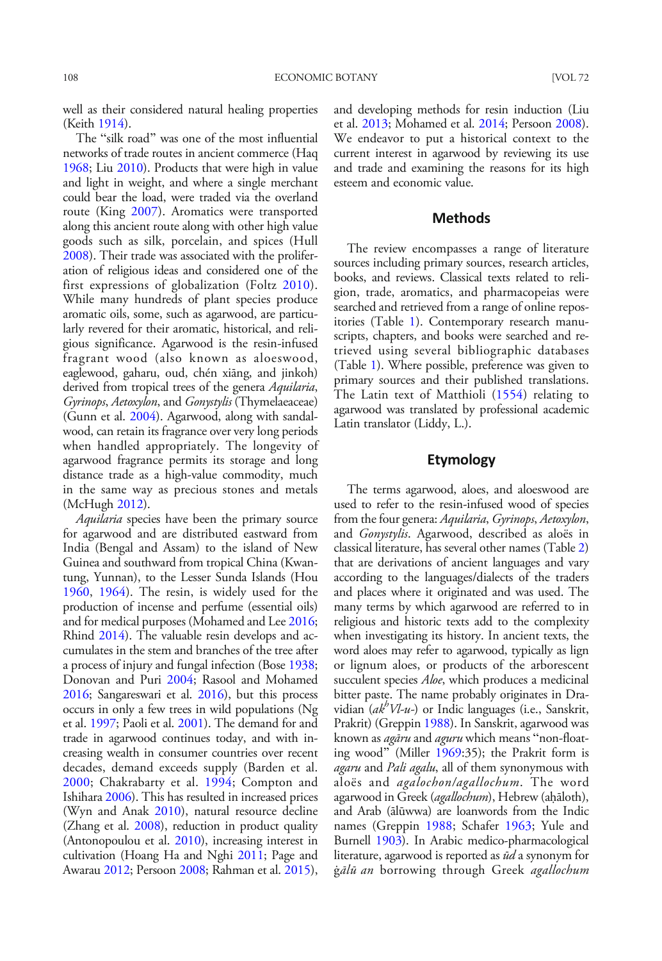well as their considered natural healing properties (Keith [1914](#page-19-0)).

The "silk road" was one of the most influential networks of trade routes in ancient commerce (Haq [1968;](#page-18-0) Liu [2010](#page-19-0)). Products that were high in value and light in weight, and where a single merchant could bear the load, were traded via the overland route (King [2007](#page-19-0)). Aromatics were transported along this ancient route along with other high value goods such as silk, porcelain, and spices (Hull [2008\)](#page-18-0). Their trade was associated with the proliferation of religious ideas and considered one of the first expressions of globalization (Foltz [2010](#page-17-0)). While many hundreds of plant species produce aromatic oils, some, such as agarwood, are particularly revered for their aromatic, historical, and religious significance. Agarwood is the resin-infused fragrant wood (also known as aloeswood, eaglewood, gaharu, oud, chén xiāng, and jinkoh) derived from tropical trees of the genera *Aquilaria*, Gyrinops, Aetoxylon, and Gonystylis (Thymelaeaceae) (Gunn et al. [2004\)](#page-18-0). Agarwood, along with sandalwood, can retain its fragrance over very long periods when handled appropriately. The longevity of agarwood fragrance permits its storage and long distance trade as a high-value commodity, much in the same way as precious stones and metals (McHugh [2012](#page-20-0)).

Aquilaria species have been the primary source for agarwood and are distributed eastward from India (Bengal and Assam) to the island of New Guinea and southward from tropical China (Kwantung, Yunnan), to the Lesser Sunda Islands (Hou [1960](#page-18-0), [1964](#page-18-0)). The resin, is widely used for the production of incense and perfume (essential oils) and for medical purposes (Mohamed and Lee [2016;](#page-20-0) Rhind [2014\)](#page-21-0). The valuable resin develops and accumulates in the stem and branches of the tree after a process of injury and fungal infection (Bose [1938;](#page-16-0) Donovan and Puri [2004;](#page-17-0) Rasool and Mohamed [2016;](#page-21-0) Sangareswari et al. [2016\)](#page-21-0), but this process occurs in only a few trees in wild populations (Ng et al. [1997;](#page-20-0) Paoli et al. [2001\)](#page-20-0). The demand for and trade in agarwood continues today, and with increasing wealth in consumer countries over recent decades, demand exceeds supply (Barden et al. [2000;](#page-16-0) Chakrabarty et al. [1994](#page-17-0); Compton and Ishihara [2006](#page-17-0)). This has resulted in increased prices (Wyn and Anak [2010\)](#page-22-0), natural resource decline (Zhang et al. [2008](#page-22-0)), reduction in product quality (Antonopoulou et al. [2010](#page-16-0)), increasing interest in cultivation (Hoang Ha and Nghi [2011;](#page-18-0) Page and Awarau [2012](#page-20-0); Persoon [2008](#page-20-0); Rahman et al. [2015\)](#page-21-0),

and developing methods for resin induction (Liu et al. [2013;](#page-19-0) Mohamed et al. [2014](#page-20-0); Persoon [2008](#page-20-0)). We endeavor to put a historical context to the current interest in agarwood by reviewing its use and trade and examining the reasons for its high esteem and economic value.

# **Methods**

The review encompasses a range of literature sources including primary sources, research articles, books, and reviews. Classical texts related to religion, trade, aromatics, and pharmacopeias were searched and retrieved from a range of online repositories (Table [1\)](#page-2-0). Contemporary research manuscripts, chapters, and books were searched and retrieved using several bibliographic databases (Table [1](#page-2-0)). Where possible, preference was given to primary sources and their published translations. The Latin text of Matthioli ([1554](#page-19-0)) relating to agarwood was translated by professional academic Latin translator (Liddy, L.).

# Etymology

The terms agarwood, aloes, and aloeswood are used to refer to the resin-infused wood of species from the four genera: Aquilaria, Gyrinops, Aetoxylon, and Gonystylis. Agarwood, described as aloës in classical literature, has several other names (Table [2](#page-2-0)) that are derivations of ancient languages and vary according to the languages/dialects of the traders and places where it originated and was used. The many terms by which agarwood are referred to in religious and historic texts add to the complexity when investigating its history. In ancient texts, the word aloes may refer to agarwood, typically as lign or lignum aloes, or products of the arborescent succulent species *Aloe*, which produces a medicinal bitter paste. The name probably originates in Dravidian  $(a k^b V l - u -)$  or Indic languages (i.e., Sanskrit, Prakrit) (Greppin [1988](#page-18-0)). In Sanskrit, agarwood was known as *agāru* and *aguru* which means "non-float-ing wood" (Miller [1969:](#page-20-0)35); the Prakrit form is agaru and Pali agalu, all of them synonymous with aloës and agalochon/agallochum. The word agarwood in Greek (*agallochum*), Hebrew (aḥāloth), and Arab (ālūwwa) are loanwords from the Indic names (Greppin [1988](#page-18-0); Schafer [1963;](#page-21-0) Yule and Burnell [1903](#page-22-0)). In Arabic medico-pharmacological literature, agarwood is reported as  $\bar{u}d$  a synonym for ġālū an borrowing through Greek agallochum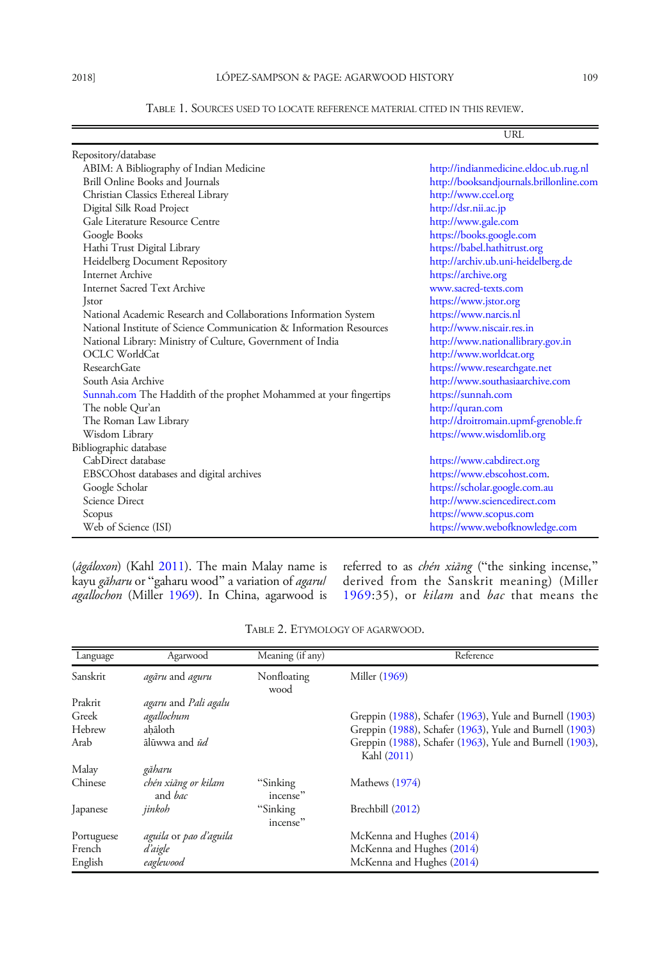# TABLE 1. SOURCES USED TO LOCATE REFERENCE MATERIAL CITED IN THIS REVIEW.

<span id="page-2-0"></span>

|                                                                     | URL                                     |
|---------------------------------------------------------------------|-----------------------------------------|
| Repository/database                                                 |                                         |
| ABIM: A Bibliography of Indian Medicine                             | http://indianmedicine.eldoc.ub.rug.nl   |
| Brill Online Books and Journals                                     | http://booksandjournals.brillonline.com |
| Christian Classics Ethereal Library                                 | http://www.ccel.org                     |
| Digital Silk Road Project                                           | http://dsr.nii.ac.jp                    |
| Gale Literature Resource Centre                                     | http://www.gale.com                     |
| Google Books                                                        | https://books.google.com                |
| Hathi Trust Digital Library                                         | https://babel.hathitrust.org            |
| Heidelberg Document Repository                                      | http://archiv.ub.uni-heidelberg.de      |
| <b>Internet Archive</b>                                             | https://archive.org                     |
| <b>Internet Sacred Text Archive</b>                                 | www.sacred-texts.com                    |
| Jstor                                                               | https://www.jstor.org                   |
| National Academic Research and Collaborations Information System    | https://www.narcis.nl                   |
| National Institute of Science Communication & Information Resources | http://www.niscair.res.in               |
| National Library: Ministry of Culture, Government of India          | http://www.nationallibrary.gov.in       |
| OCLC WorldCat                                                       | http://www.worldcat.org                 |
| Research Gate                                                       | https://www.researchgate.net            |
| South Asia Archive                                                  | http://www.southasiaarchive.com         |
| Sunnah.com The Haddith of the prophet Mohammed at your fingertips   | https://sunnah.com                      |
| The noble Qur'an                                                    | http://quran.com                        |
| The Roman Law Library                                               | http://droitromain.upmf-grenoble.fr     |
| Wisdom Library                                                      | https://www.wisdomlib.org               |
| Bibliographic database                                              |                                         |
| CabDirect database                                                  | https://www.cabdirect.org               |
| EBSCOhost databases and digital archives                            | https://www.ebscohost.com.              |
| Google Scholar                                                      | https://scholar.google.com.au           |
| Science Direct                                                      | http://www.sciencedirect.com            |
| Scopus                                                              | https://www.scopus.com                  |
| Web of Science (ISI)                                                | https://www.webofknowledge.com          |

(*âgáloxon*) (Kahl [2011](#page-19-0)). The main Malay name is kayu *găharu* or "gaharu wood" a variation of *agarul* agallochon (Miller [1969](#page-20-0)). In China, agarwood is

referred to as *chén xiāng* ("the sinking incense," derived from the Sanskrit meaning) (Miller [1969:](#page-20-0)35), or kilam and bac that means the

| Language   | Agarwood                              | Meaning (if any)     | Reference                                                               |
|------------|---------------------------------------|----------------------|-------------------------------------------------------------------------|
| Sanskrit   | agāru and aguru                       | Nonfloating<br>wood  | Miller (1969)                                                           |
| Prakrit    | <i>agaru</i> and <i>Pali agalu</i>    |                      |                                                                         |
| Greek      | agallochum                            |                      | Greppin (1988), Schafer (1963), Yule and Burnell (1903)                 |
| Hebrew     | ahāloth                               |                      | Greppin (1988), Schafer (1963), Yule and Burnell (1903)                 |
| Arab       | ālūwwa and ūd                         |                      | Greppin (1988), Schafer (1963), Yule and Burnell (1903),<br>Kahl (2011) |
| Malay      | găharu                                |                      |                                                                         |
| Chinese    | chén xiāng or kilam<br>and <i>bac</i> | "Sinking<br>incense" | Mathews (1974)                                                          |
| Japanese   | jinkoh                                | "Sinking<br>incense" | Brechbill (2012)                                                        |
| Portuguese | aguila or pao d'aguila                |                      | McKenna and Hughes (2014)                                               |
| French     | d'aigle                               |                      | McKenna and Hughes (2014)                                               |
| English    | eaglewood                             |                      | McKenna and Hughes (2014)                                               |

TABLE 2. ETYMOLOGY OF AGARWOOD.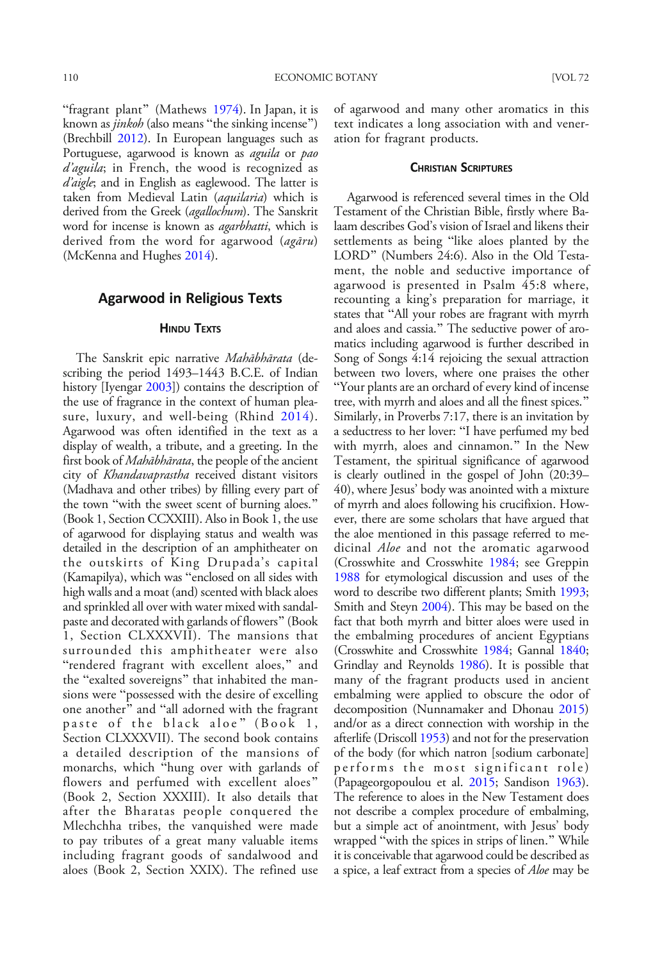"fragrant plant" (Mathews [1974](#page-19-0)). In Japan, it is known as *jinkoh* (also means "the sinking incense") (Brechbill [2012\)](#page-16-0). In European languages such as Portuguese, agarwood is known as *aguila* or pao d'aguila; in French, the wood is recognized as d'aigle; and in English as eaglewood. The latter is taken from Medieval Latin (aquilaria) which is derived from the Greek (agallochum). The Sanskrit word for incense is known as *agarbhatti*, which is derived from the word for agarwood (agāru) (McKenna and Hughes [2014\)](#page-20-0).

# Agarwood in Religious Texts

#### **HINDU TEXTS**

The Sanskrit epic narrative Mahābhārata (describing the period 1493–1443 B.C.E. of Indian history [Iyengar [2003\]](#page-18-0)) contains the description of the use of fragrance in the context of human pleasure, luxury, and well-being (Rhind [2014](#page-21-0)). Agarwood was often identified in the text as a display of wealth, a tribute, and a greeting. In the first book of Mahābhārata, the people of the ancient city of Khandavaprastha received distant visitors (Madhava and other tribes) by filling every part of the town "with the sweet scent of burning aloes." (Book 1, Section CCXXIII). Also in Book 1, the use of agarwood for displaying status and wealth was detailed in the description of an amphitheater on the outskirts of King Drupada's capital (Kamapilya), which was "enclosed on all sides with high walls and a moat (and) scented with black aloes and sprinkled all over with water mixed with sandalpaste and decorated with garlands of flowers" (Book 1, Section CLXXXVII). The mansions that surrounded this amphitheater were also "rendered fragrant with excellent aloes," and the "exalted sovereigns" that inhabited the mansions were "possessed with the desire of excelling one another" and "all adorned with the fragrant paste of the black aloe" (Book 1, Section CLXXXVII). The second book contains a detailed description of the mansions of monarchs, which "hung over with garlands of flowers and perfumed with excellent aloes" (Book 2, Section XXXIII). It also details that after the Bharatas people conquered the Mlechchha tribes, the vanquished were made to pay tributes of a great many valuable items including fragrant goods of sandalwood and aloes (Book 2, Section XXIX). The refined use

of agarwood and many other aromatics in this text indicates a long association with and veneration for fragrant products.

## CHRISTIAN SCRIPTURES

Agarwood is referenced several times in the Old Testament of the Christian Bible, firstly where Balaam describes God's vision of Israel and likens their settlements as being "like aloes planted by the LORD" (Numbers 24:6). Also in the Old Testament, the noble and seductive importance of agarwood is presented in Psalm 45:8 where, recounting a king's preparation for marriage, it states that "All your robes are fragrant with myrrh and aloes and cassia." The seductive power of aromatics including agarwood is further described in Song of Songs 4:14 rejoicing the sexual attraction between two lovers, where one praises the other "Your plants are an orchard of every kind of incense tree, with myrrh and aloes and all the finest spices." Similarly, in Proverbs 7:17, there is an invitation by a seductress to her lover: "I have perfumed my bed with myrrh, aloes and cinnamon." In the New Testament, the spiritual significance of agarwood is clearly outlined in the gospel of John (20:39– 40), where Jesus' body was anointed with a mixture of myrrh and aloes following his crucifixion. However, there are some scholars that have argued that the aloe mentioned in this passage referred to medicinal *Aloe* and not the aromatic agarwood (Crosswhite and Crosswhite [1984;](#page-17-0) see Greppin [1988](#page-18-0) for etymological discussion and uses of the word to describe two different plants; Smith [1993](#page-21-0); Smith and Steyn [2004\)](#page-21-0). This may be based on the fact that both myrrh and bitter aloes were used in the embalming procedures of ancient Egyptians (Crosswhite and Crosswhite [1984;](#page-17-0) Gannal [1840](#page-17-0); Grindlay and Reynolds [1986\)](#page-18-0). It is possible that many of the fragrant products used in ancient embalming were applied to obscure the odor of decomposition (Nunnamaker and Dhonau [2015](#page-20-0)) and/or as a direct connection with worship in the afterlife (Driscoll [1953](#page-17-0)) and not for the preservation of the body (for which natron [sodium carbonate] performs the most significant role) (Papageorgopoulou et al. [2015](#page-20-0); Sandison [1963](#page-21-0)). The reference to aloes in the New Testament does not describe a complex procedure of embalming, but a simple act of anointment, with Jesus' body wrapped "with the spices in strips of linen." While it is conceivable that agarwood could be described as a spice, a leaf extract from a species of Aloe may be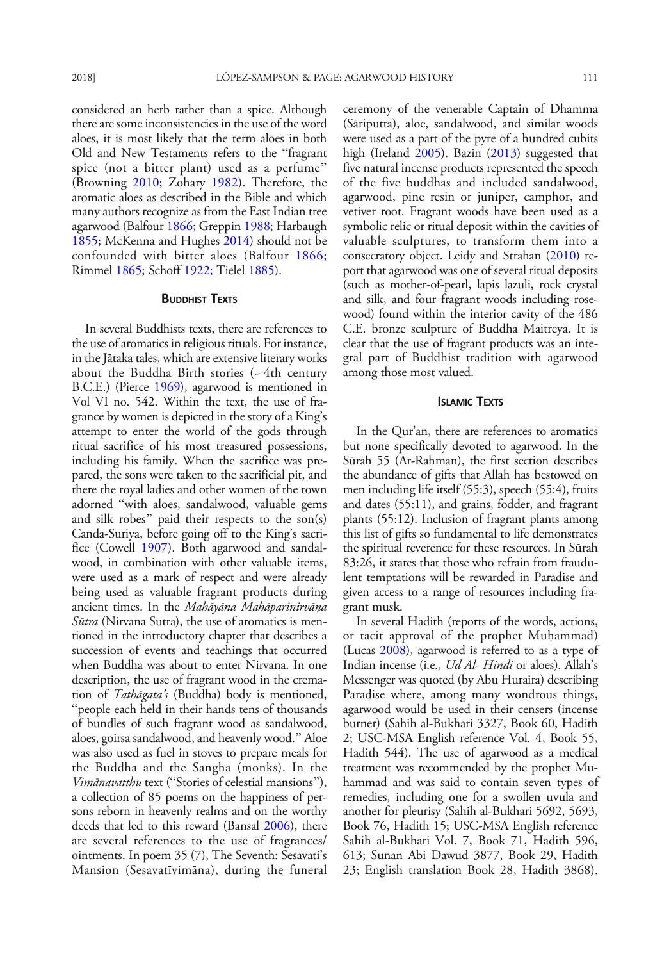considered an herb rather than a spice. Although there are some inconsistencies in the use of the word aloes, it is most likely that the term aloes in both Old and New Testaments refers to the "fragrant spice (not a bitter plant) used as a perfume" (Browning [2010](#page-16-0); Zohary [1982](#page-22-0)). Therefore, the aromatic aloes as described in the Bible and which many authors recognize as from the East Indian tree agarwood (Balfour [1866](#page-16-0); Greppin [1988](#page-18-0); Harbaugh [1855](#page-18-0); McKenna and Hughes [2014\)](#page-20-0) should not be confounded with bitter aloes (Balfour [1866;](#page-16-0) Rimmel [1865](#page-21-0); Schoff [1922](#page-21-0); Tielel [1885\)](#page-21-0).

### **BUDDHIST TEXTS**

In several Buddhists texts, there are references to the use of aromatics in religious rituals. For instance, in the Jātaka tales, which are extensive literary works about the Buddha Birth stories (~ 4th century B.C.E.) (Pierce [1969\)](#page-20-0), agarwood is mentioned in Vol VI no. 542. Within the text, the use of fragrance by women is depicted in the story of a King's attempt to enter the world of the gods through ritual sacrifice of his most treasured possessions, including his family. When the sacrifice was prepared, the sons were taken to the sacrificial pit, and there the royal ladies and other women of the town adorned "with aloes, sandalwood, valuable gems and silk robes" paid their respects to the son(s) Canda-Suriya, before going off to the King's sacrifice (Cowell [1907\)](#page-17-0). Both agarwood and sandalwood, in combination with other valuable items, were used as a mark of respect and were already being used as valuable fragrant products during ancient times. In the Mahāyāna Mahāparinirvāṇa Sūtra (Nirvana Sutra), the use of aromatics is mentioned in the introductory chapter that describes a succession of events and teachings that occurred when Buddha was about to enter Nirvana. In one description, the use of fragrant wood in the cremation of Tathāgata's (Buddha) body is mentioned, "people each held in their hands tens of thousands of bundles of such fragrant wood as sandalwood, aloes, goirsa sandalwood, and heavenly wood.^ Aloe was also used as fuel in stoves to prepare meals for the Buddha and the Sangha (monks). In the Vimānavatthu text ("Stories of celestial mansions"), a collection of 85 poems on the happiness of persons reborn in heavenly realms and on the worthy deeds that led to this reward (Bansal [2006](#page-16-0)), there are several references to the use of fragrances/ ointments. In poem 35 (7), The Seventh: Sesavati's Mansion (Sesavatīvimāna), during the funeral

ceremony of the venerable Captain of Dhamma (Sāriputta), aloe, sandalwood, and similar woods were used as a part of the pyre of a hundred cubits high (Ireland [2005\)](#page-18-0). Bazin ([2013](#page-16-0)) suggested that five natural incense products represented the speech of the five buddhas and included sandalwood, agarwood, pine resin or juniper, camphor, and vetiver root. Fragrant woods have been used as a symbolic relic or ritual deposit within the cavities of valuable sculptures, to transform them into a consecratory object. Leidy and Strahan [\(2010\)](#page-19-0) report that agarwood was one of several ritual deposits (such as mother-of-pearl, lapis lazuli, rock crystal and silk, and four fragrant woods including rosewood) found within the interior cavity of the 486 C.E. bronze sculpture of Buddha Maitreya. It is clear that the use of fragrant products was an integral part of Buddhist tradition with agarwood among those most valued.

# ISLAMIC TEXTS

In the Qur'an, there are references to aromatics but none specifically devoted to agarwood. In the Sūrah 55 (Ar-Rahman), the first section describes the abundance of gifts that Allah has bestowed on men including life itself (55:3), speech (55:4), fruits and dates (55:11), and grains, fodder, and fragrant plants (55:12). Inclusion of fragrant plants among this list of gifts so fundamental to life demonstrates the spiritual reverence for these resources. In Sūrah 83:26, it states that those who refrain from fraudulent temptations will be rewarded in Paradise and given access to a range of resources including fragrant musk.

In several Hadith (reports of the words, actions, or tacit approval of the prophet Muḥammad) (Lucas [2008](#page-19-0)), agarwood is referred to as a type of Indian incense (i.e., Ūd Al- Hindi or aloes). Allah's Messenger was quoted (by Abu Huraira) describing Paradise where, among many wondrous things, agarwood would be used in their censers (incense burner) (Sahih al-Bukhari 3327, Book 60, Hadith 2; USC-MSA English reference Vol. 4, Book 55, Hadith 544). The use of agarwood as a medical treatment was recommended by the prophet Muhammad and was said to contain seven types of remedies, including one for a swollen uvula and another for pleurisy (Sahih al-Bukhari 5692, 5693, Book 76, Hadith 15; USC-MSA English reference Sahih al-Bukhari Vol. 7, Book 71, Hadith 596, 613; Sunan Abi Dawud 3877, Book 29, Hadith 23; English translation Book 28, Hadith 3868).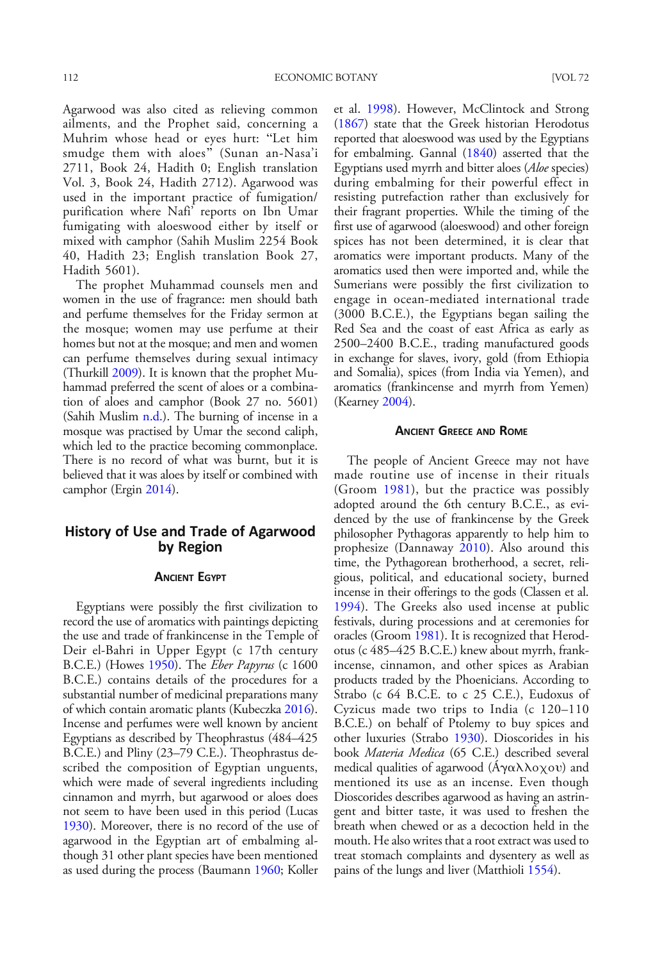Agarwood was also cited as relieving common ailments, and the Prophet said, concerning a Muhrim whose head or eyes hurt: "Let him smudge them with aloes" (Sunan an-Nasa'i 2711, Book 24, Hadith 0; English translation Vol. 3, Book 24, Hadith 2712). Agarwood was used in the important practice of fumigation/ purification where Nafi' reports on Ibn Umar fumigating with aloeswood either by itself or mixed with camphor (Sahih Muslim 2254 Book 40, Hadith 23; English translation Book 27, Hadith 5601).

The prophet Muhammad counsels men and women in the use of fragrance: men should bath and perfume themselves for the Friday sermon at the mosque; women may use perfume at their homes but not at the mosque; and men and women can perfume themselves during sexual intimacy (Thurkill [2009\)](#page-21-0). It is known that the prophet Muhammad preferred the scent of aloes or a combination of aloes and camphor (Book 27 no. 5601) (Sahih Muslim [n.d.\)](#page-20-0). The burning of incense in a mosque was practised by Umar the second caliph, which led to the practice becoming commonplace. There is no record of what was burnt, but it is believed that it was aloes by itself or combined with camphor (Ergin [2014\)](#page-17-0).

# History of Use and Trade of Agarwood by Region

## ANCIENT EGYPT

Egyptians were possibly the first civilization to record the use of aromatics with paintings depicting the use and trade of frankincense in the Temple of Deir el-Bahri in Upper Egypt (c 17th century B.C.E.) (Howes [1950\)](#page-18-0). The *Eber Papyrus* (c 1600 B.C.E.) contains details of the procedures for a substantial number of medicinal preparations many of which contain aromatic plants (Kubeczka [2016\)](#page-19-0). Incense and perfumes were well known by ancient Egyptians as described by Theophrastus (484–425 B.C.E.) and Pliny (23–79 C.E.). Theophrastus described the composition of Egyptian unguents, which were made of several ingredients including cinnamon and myrrh, but agarwood or aloes does not seem to have been used in this period (Lucas [1930\)](#page-19-0). Moreover, there is no record of the use of agarwood in the Egyptian art of embalming although 31 other plant species have been mentioned as used during the process (Baumann [1960](#page-16-0); Koller

et al. [1998\)](#page-19-0). However, McClintock and Strong [\(1867](#page-20-0)) state that the Greek historian Herodotus reported that aloeswood was used by the Egyptians for embalming. Gannal ([1840\)](#page-17-0) asserted that the Egyptians used myrrh and bitter aloes (Aloe species) during embalming for their powerful effect in resisting putrefaction rather than exclusively for their fragrant properties. While the timing of the first use of agarwood (aloeswood) and other foreign spices has not been determined, it is clear that aromatics were important products. Many of the aromatics used then were imported and, while the Sumerians were possibly the first civilization to engage in ocean-mediated international trade (3000 B.C.E.), the Egyptians began sailing the Red Sea and the coast of east Africa as early as 2500–2400 B.C.E., trading manufactured goods in exchange for slaves, ivory, gold (from Ethiopia and Somalia), spices (from India via Yemen), and aromatics (frankincense and myrrh from Yemen) (Kearney [2004](#page-19-0)).

#### ANCIENT GREECE AND ROME

The people of Ancient Greece may not have made routine use of incense in their rituals (Groom [1981](#page-18-0)), but the practice was possibly adopted around the 6th century B.C.E., as evidenced by the use of frankincense by the Greek philosopher Pythagoras apparently to help him to prophesize (Dannaway [2010\)](#page-17-0). Also around this time, the Pythagorean brotherhood, a secret, religious, political, and educational society, burned incense in their offerings to the gods (Classen et al. [1994\)](#page-17-0). The Greeks also used incense at public festivals, during processions and at ceremonies for oracles (Groom [1981](#page-18-0)). It is recognized that Herodotus (c 485–425 B.C.E.) knew about myrrh, frankincense, cinnamon, and other spices as Arabian products traded by the Phoenicians. According to Strabo (c 64 B.C.E. to c 25 C.E.), Eudoxus of Cyzicus made two trips to India (c 120–110 B.C.E.) on behalf of Ptolemy to buy spices and other luxuries (Strabo [1930](#page-21-0)). Dioscorides in his book Materia Medica (65 C.E.) described several medical qualities of agarwood (Áγαλλοχου) and mentioned its use as an incense. Even though Dioscorides describes agarwood as having an astringent and bitter taste, it was used to freshen the breath when chewed or as a decoction held in the mouth. He also writes that a root extract was used to treat stomach complaints and dysentery as well as pains of the lungs and liver (Matthioli [1554](#page-19-0)).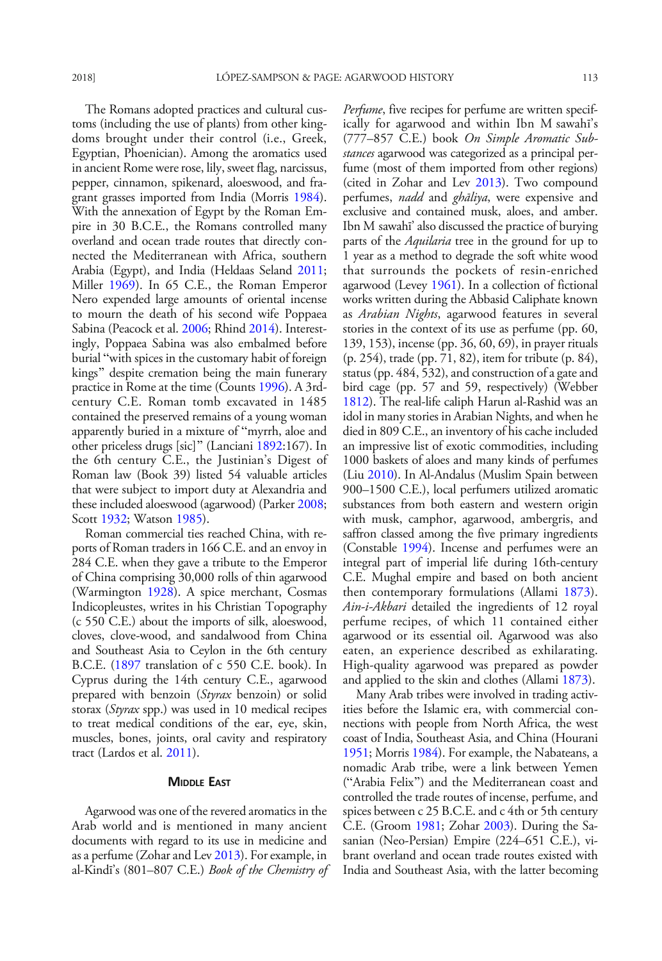The Romans adopted practices and cultural customs (including the use of plants) from other kingdoms brought under their control (i.e., Greek, Egyptian, Phoenician). Among the aromatics used in ancient Rome were rose, lily, sweet flag, narcissus, pepper, cinnamon, spikenard, aloeswood, and fragrant grasses imported from India (Morris [1984\)](#page-20-0). With the annexation of Egypt by the Roman Empire in 30 B.C.E., the Romans controlled many overland and ocean trade routes that directly connected the Mediterranean with Africa, southern Arabia (Egypt), and India (Heldaas Seland [2011;](#page-18-0) Miller [1969](#page-20-0)). In 65 C.E., the Roman Emperor Nero expended large amounts of oriental incense to mourn the death of his second wife Poppaea Sabina (Peacock et al. [2006;](#page-20-0) Rhind [2014](#page-21-0)). Interestingly, Poppaea Sabina was also embalmed before burial "with spices in the customary habit of foreign kings" despite cremation being the main funerary practice in Rome at the time (Counts [1996](#page-17-0)). A 3rdcentury C.E. Roman tomb excavated in 1485 contained the preserved remains of a young woman apparently buried in a mixture of "myrrh, aloe and other priceless drugs [sic]^ (Lanciani [1892:](#page-19-0)167). In the 6th century C.E., the Justinian's Digest of Roman law (Book 39) listed 54 valuable articles that were subject to import duty at Alexandria and these included aloeswood (agarwood) (Parker [2008;](#page-20-0) Scott [1932](#page-21-0); Watson [1985\)](#page-21-0).

Roman commercial ties reached China, with reports of Roman traders in 166 C.E. and an envoy in 284 C.E. when they gave a tribute to the Emperor of China comprising 30,000 rolls of thin agarwood (Warmington [1928](#page-21-0)). A spice merchant, Cosmas Indicopleustes, writes in his Christian Topography (c 550 C.E.) about the imports of silk, aloeswood, cloves, clove-wood, and sandalwood from China and Southeast Asia to Ceylon in the 6th century B.C.E. ([1897](#page-18-0) translation of c 550 C.E. book). In Cyprus during the 14th century C.E., agarwood prepared with benzoin (Styrax benzoin) or solid storax (Styrax spp.) was used in 10 medical recipes to treat medical conditions of the ear, eye, skin, muscles, bones, joints, oral cavity and respiratory tract (Lardos et al. [2011](#page-19-0)).

#### **MIDDLE EAST**

Agarwood was one of the revered aromatics in the Arab world and is mentioned in many ancient documents with regard to its use in medicine and as a perfume (Zohar and Lev [2013](#page-22-0)). For example, in al-Kindī's (801–807 C.E.) Book of the Chemistry of Perfume, five recipes for perfume are written specifically for agarwood and within Ibn M sawahī's (777–857 C.E.) book On Simple Aromatic Substances agarwood was categorized as a principal perfume (most of them imported from other regions) (cited in Zohar and Lev [2013](#page-22-0)). Two compound perfumes, *nadd* and *ghāliya*, were expensive and exclusive and contained musk, aloes, and amber. Ibn M sawahī' also discussed the practice of burying parts of the *Aquilaria* tree in the ground for up to 1 year as a method to degrade the soft white wood that surrounds the pockets of resin-enriched agarwood (Levey [1961\)](#page-19-0). In a collection of fictional works written during the Abbasid Caliphate known as Arabian Nights, agarwood features in several stories in the context of its use as perfume (pp. 60, 139, 153), incense (pp. 36, 60, 69), in prayer rituals (p. 254), trade (pp. 71, 82), item for tribute (p. 84), status (pp. 484, 532), and construction of a gate and bird cage (pp. 57 and 59, respectively) (Webber [1812\)](#page-22-0). The real-life caliph Harun al-Rashid was an idol in many stories in Arabian Nights, and when he died in 809 C.E., an inventory of his cache included an impressive list of exotic commodities, including 1000 baskets of aloes and many kinds of perfumes (Liu [2010](#page-19-0)). In Al-Andalus (Muslim Spain between 900–1500 C.E.), local perfumers utilized aromatic substances from both eastern and western origin with musk, camphor, agarwood, ambergris, and saffron classed among the five primary ingredients (Constable [1994\)](#page-17-0). Incense and perfumes were an integral part of imperial life during 16th-century C.E. Mughal empire and based on both ancient then contemporary formulations (Allami [1873\)](#page-16-0). Ain-i-Akbari detailed the ingredients of 12 royal perfume recipes, of which 11 contained either agarwood or its essential oil. Agarwood was also eaten, an experience described as exhilarating. High-quality agarwood was prepared as powder and applied to the skin and clothes (Allami [1873\)](#page-16-0).

Many Arab tribes were involved in trading activities before the Islamic era, with commercial connections with people from North Africa, the west coast of India, Southeast Asia, and China (Hourani [1951;](#page-18-0) Morris [1984](#page-20-0)). For example, the Nabateans, a nomadic Arab tribe, were a link between Yemen ("Arabia Felix") and the Mediterranean coast and controlled the trade routes of incense, perfume, and spices between c 25 B.C.E. and c 4th or 5th century C.E. (Groom [1981;](#page-18-0) Zohar [2003](#page-22-0)). During the Sasanian (Neo-Persian) Empire (224–651 C.E.), vibrant overland and ocean trade routes existed with India and Southeast Asia, with the latter becoming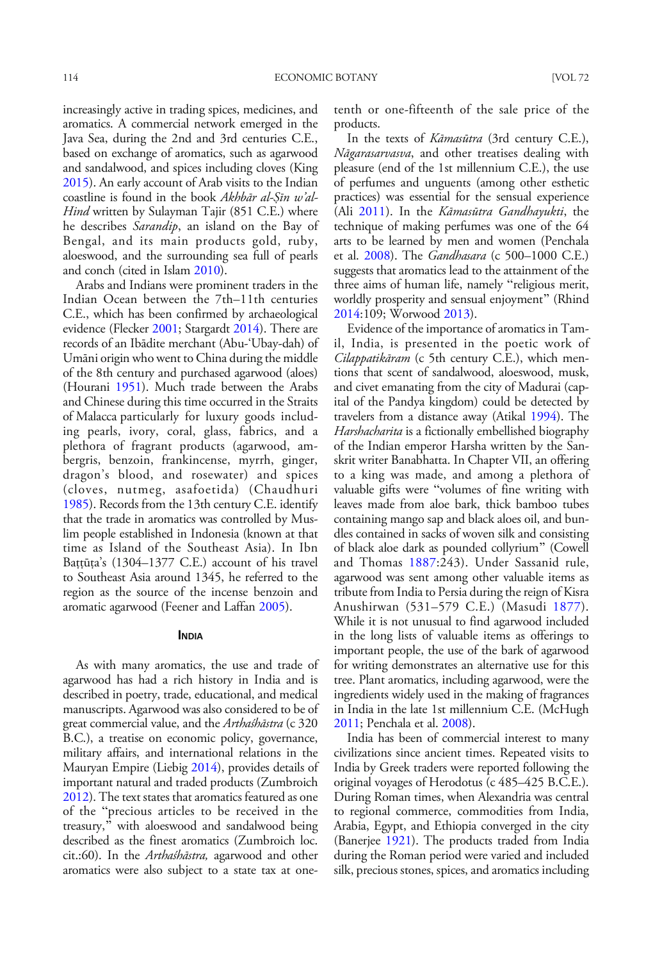increasingly active in trading spices, medicines, and aromatics. A commercial network emerged in the Java Sea, during the 2nd and 3rd centuries C.E., based on exchange of aromatics, such as agarwood and sandalwood, and spices including cloves (King [2015\)](#page-19-0). An early account of Arab visits to the Indian coastline is found in the book Akhbār al-Ṣīn w'al-Hind written by Sulayman Tajir (851 C.E.) where he describes Sarandip, an island on the Bay of Bengal, and its main products gold, ruby, aloeswood, and the surrounding sea full of pearls and conch (cited in Islam [2010\)](#page-18-0).

Arabs and Indians were prominent traders in the Indian Ocean between the 7th–11th centuries C.E., which has been confirmed by archaeological evidence (Flecker [2001;](#page-17-0) Stargardt [2014](#page-21-0)). There are records of an Ibādite merchant (Abu-'Ubay-dah) of Umāni origin who went to China during the middle of the 8th century and purchased agarwood (aloes) (Hourani [1951](#page-18-0)). Much trade between the Arabs and Chinese during this time occurred in the Straits of Malacca particularly for luxury goods including pearls, ivory, coral, glass, fabrics, and a plethora of fragrant products (agarwood, ambergris, benzoin, frankincense, myrrh, ginger, dragon's blood, and rosewater) and spices (cloves, nutmeg, asafoetida) (Chaudhuri [1985\)](#page-17-0). Records from the 13th century C.E. identify that the trade in aromatics was controlled by Muslim people established in Indonesia (known at that time as Island of the Southeast Asia). In Ibn Battūta's (1304–1377 C.E.) account of his travel to Southeast Asia around 1345, he referred to the region as the source of the incense benzoin and aromatic agarwood (Feener and Laffan [2005\)](#page-17-0).

### INDIA

As with many aromatics, the use and trade of agarwood has had a rich history in India and is described in poetry, trade, educational, and medical manuscripts. Agarwood was also considered to be of great commercial value, and the Arthaśhāstra (c 320 B.C.), a treatise on economic policy, governance, military affairs, and international relations in the Mauryan Empire (Liebig [2014\)](#page-19-0), provides details of important natural and traded products (Zumbroich [2012\)](#page-22-0). The text states that aromatics featured as one of the "precious articles to be received in the treasury," with aloeswood and sandalwood being described as the finest aromatics (Zumbroich loc. cit.:60). In the Arthaśhāstra, agarwood and other aromatics were also subject to a state tax at onetenth or one-fifteenth of the sale price of the products.

In the texts of *Kāmasūtra* (3rd century C.E.), Nāgarasarvasva, and other treatises dealing with pleasure (end of the 1st millennium C.E.), the use of perfumes and unguents (among other esthetic practices) was essential for the sensual experience (Ali [2011](#page-16-0)). In the *Kāmasūtra Gandhayukti*, the technique of making perfumes was one of the 64 arts to be learned by men and women (Penchala et al. [2008](#page-20-0)). The Gandhasara (c 500–1000 C.E.) suggests that aromatics lead to the attainment of the three aims of human life, namely "religious merit, worldly prosperity and sensual enjoyment^ (Rhind [2014:](#page-21-0)109; Worwood [2013](#page-22-0)).

Evidence of the importance of aromatics in Tamil, India, is presented in the poetic work of Cilappatikāram (c 5th century C.E.), which mentions that scent of sandalwood, aloeswood, musk, and civet emanating from the city of Madurai (capital of the Pandya kingdom) could be detected by travelers from a distance away (Atikal [1994](#page-16-0)). The Harshacharita is a fictionally embellished biography of the Indian emperor Harsha written by the Sanskrit writer Banabhatta. In Chapter VII, an offering to a king was made, and among a plethora of valuable gifts were "volumes of fine writing with leaves made from aloe bark, thick bamboo tubes containing mango sap and black aloes oil, and bundles contained in sacks of woven silk and consisting of black aloe dark as pounded collyrium^ (Cowell and Thomas [1887](#page-17-0):243). Under Sassanid rule, agarwood was sent among other valuable items as tribute from India to Persia during the reign of Kisra Anushirwan (531–579 C.E.) (Masudi [1877\)](#page-19-0). While it is not unusual to find agarwood included in the long lists of valuable items as offerings to important people, the use of the bark of agarwood for writing demonstrates an alternative use for this tree. Plant aromatics, including agarwood, were the ingredients widely used in the making of fragrances in India in the late 1st millennium C.E. (McHugh [2011;](#page-20-0) Penchala et al. [2008\)](#page-20-0).

India has been of commercial interest to many civilizations since ancient times. Repeated visits to India by Greek traders were reported following the original voyages of Herodotus (c 485–425 B.C.E.). During Roman times, when Alexandria was central to regional commerce, commodities from India, Arabia, Egypt, and Ethiopia converged in the city (Banerjee [1921\)](#page-16-0). The products traded from India during the Roman period were varied and included silk, precious stones, spices, and aromatics including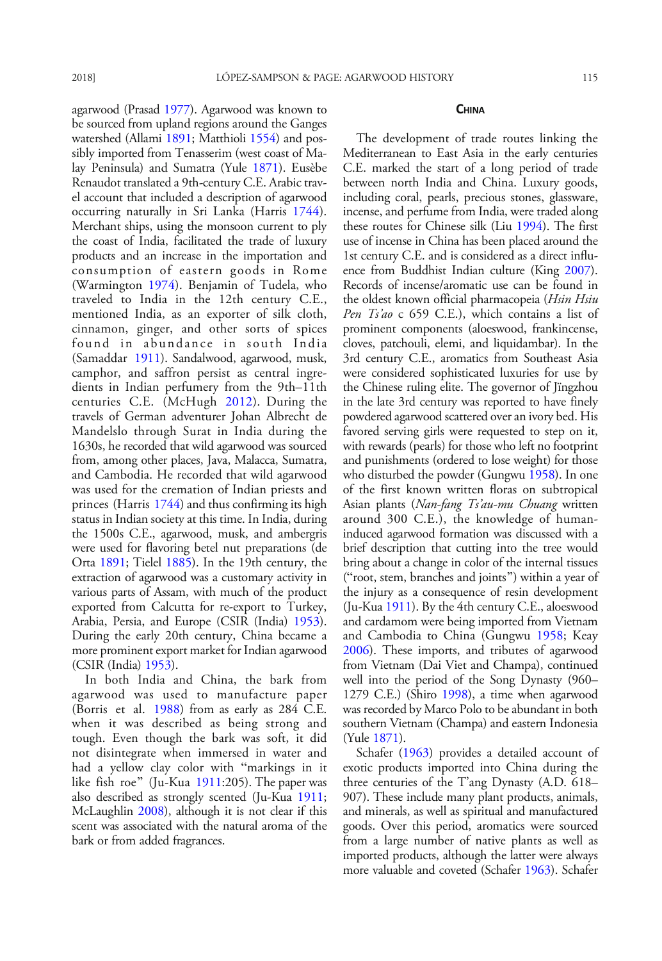agarwood (Prasad [1977](#page-21-0)). Agarwood was known to be sourced from upland regions around the Ganges watershed (Allami [1891;](#page-16-0) Matthioli [1554\)](#page-19-0) and possibly imported from Tenasserim (west coast of Malay Peninsula) and Sumatra (Yule [1871\)](#page-22-0). Eusèbe Renaudot translated a 9th-century C.E. Arabic travel account that included a description of agarwood occurring naturally in Sri Lanka (Harris [1744](#page-18-0)). Merchant ships, using the monsoon current to ply the coast of India, facilitated the trade of luxury products and an increase in the importation and consumption of eastern goods in Rome (Warmington [1974](#page-21-0)). Benjamin of Tudela, who traveled to India in the 12th century C.E., mentioned India, as an exporter of silk cloth, cinnamon, ginger, and other sorts of spices found in abundance in south India (Samaddar [1911](#page-21-0)). Sandalwood, agarwood, musk, camphor, and saffron persist as central ingredients in Indian perfumery from the 9th–11th centuries C.E. (McHugh [2012](#page-20-0)). During the travels of German adventurer Johan Albrecht de Mandelslo through Surat in India during the 1630s, he recorded that wild agarwood was sourced from, among other places, Java, Malacca, Sumatra, and Cambodia. He recorded that wild agarwood was used for the cremation of Indian priests and princes (Harris [1744\)](#page-18-0) and thus confirming its high status in Indian society at this time. In India, during the 1500s C.E., agarwood, musk, and ambergris were used for flavoring betel nut preparations (de Orta [1891](#page-17-0); Tielel [1885\)](#page-21-0). In the 19th century, the extraction of agarwood was a customary activity in various parts of Assam, with much of the product exported from Calcutta for re-export to Turkey, Arabia, Persia, and Europe (CSIR (India) [1953\)](#page-17-0). During the early 20th century, China became a more prominent export market for Indian agarwood (CSIR (India) [1953](#page-17-0)).

In both India and China, the bark from agarwood was used to manufacture paper (Borris et al. [1988\)](#page-16-0) from as early as 284 C.E. when it was described as being strong and tough. Even though the bark was soft, it did not disintegrate when immersed in water and had a yellow clay color with "markings in it like fish roe" (Ju-Kua [1911](#page-18-0):205). The paper was also described as strongly scented (Ju-Kua [1911;](#page-18-0) McLaughlin [2008\)](#page-20-0), although it is not clear if this scent was associated with the natural aroma of the bark or from added fragrances.

#### **CHINA**

The development of trade routes linking the Mediterranean to East Asia in the early centuries C.E. marked the start of a long period of trade between north India and China. Luxury goods, including coral, pearls, precious stones, glassware, incense, and perfume from India, were traded along these routes for Chinese silk (Liu [1994\)](#page-19-0). The first use of incense in China has been placed around the 1st century C.E. and is considered as a direct influence from Buddhist Indian culture (King [2007\)](#page-19-0). Records of incense/aromatic use can be found in the oldest known official pharmacopeia (Hsin Hsiu Pen Ts'ao c 659 C.E.), which contains a list of prominent components (aloeswood, frankincense, cloves, patchouli, elemi, and liquidambar). In the 3rd century C.E., aromatics from Southeast Asia were considered sophisticated luxuries for use by the Chinese ruling elite. The governor of Jïngzhou in the late 3rd century was reported to have finely powdered agarwood scattered over an ivory bed. His favored serving girls were requested to step on it, with rewards (pearls) for those who left no footprint and punishments (ordered to lose weight) for those who disturbed the powder (Gungwu [1958\)](#page-18-0). In one of the first known written floras on subtropical Asian plants (Nan-fang Ts'au-mu Chuang written around 300 C.E.), the knowledge of humaninduced agarwood formation was discussed with a brief description that cutting into the tree would bring about a change in color of the internal tissues ("root, stem, branches and joints") within a year of the injury as a consequence of resin development (Ju-Kua [1911\)](#page-18-0). By the 4th century C.E., aloeswood and cardamom were being imported from Vietnam and Cambodia to China (Gungwu [1958](#page-18-0); Keay [2006\)](#page-19-0). These imports, and tributes of agarwood from Vietnam (Dai Viet and Champa), continued well into the period of the Song Dynasty (960– 1279 C.E.) (Shiro [1998\)](#page-21-0), a time when agarwood was recorded by Marco Polo to be abundant in both southern Vietnam (Champa) and eastern Indonesia (Yule [1871](#page-22-0)).

Schafer ([1963\)](#page-21-0) provides a detailed account of exotic products imported into China during the three centuries of the T'ang Dynasty (A.D. 618– 907). These include many plant products, animals, and minerals, as well as spiritual and manufactured goods. Over this period, aromatics were sourced from a large number of native plants as well as imported products, although the latter were always more valuable and coveted (Schafer [1963\)](#page-21-0). Schafer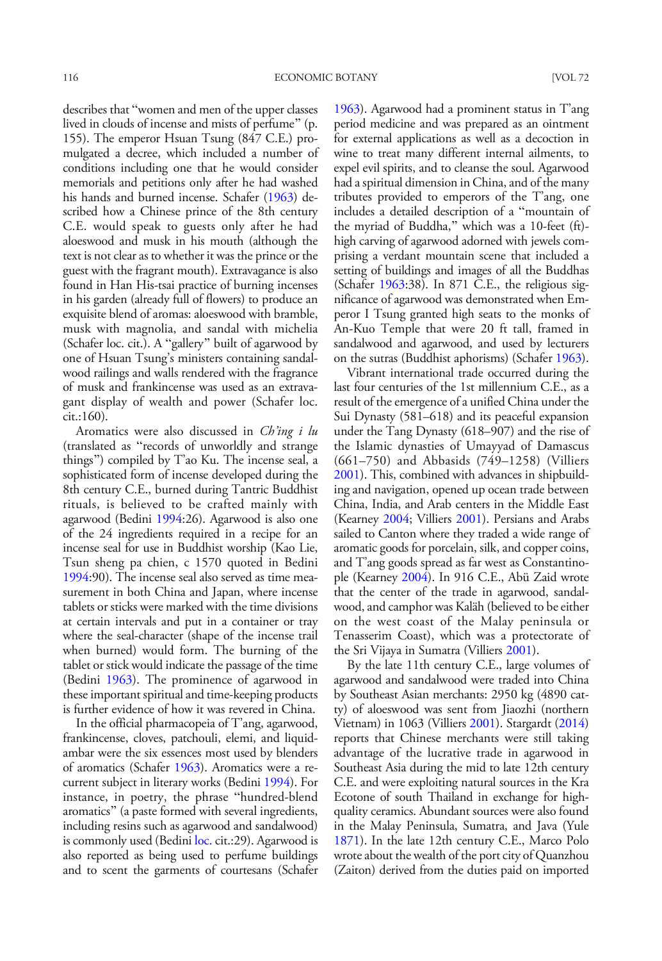describes that "women and men of the upper classes lived in clouds of incense and mists of perfume^ (p. 155). The emperor Hsuan Tsung (847 C.E.) promulgated a decree, which included a number of conditions including one that he would consider memorials and petitions only after he had washed his hands and burned incense. Schafer [\(1963](#page-21-0)) described how a Chinese prince of the 8th century C.E. would speak to guests only after he had aloeswood and musk in his mouth (although the text is not clear as to whether it was the prince or the guest with the fragrant mouth). Extravagance is also found in Han His-tsai practice of burning incenses in his garden (already full of flowers) to produce an exquisite blend of aromas: aloeswood with bramble, musk with magnolia, and sandal with michelia (Schafer loc. cit.). A "gallery" built of agarwood by one of Hsuan Tsung's ministers containing sandalwood railings and walls rendered with the fragrance of musk and frankincense was used as an extravagant display of wealth and power (Schafer loc. cit.:160).

Aromatics were also discussed in *Ch'ing i lu* (translated as "records of unworldly and strange things^) compiled by T'ao Ku. The incense seal, a sophisticated form of incense developed during the 8th century C.E., burned during Tantric Buddhist rituals, is believed to be crafted mainly with agarwood (Bedini [1994:](#page-16-0)26). Agarwood is also one of the 24 ingredients required in a recipe for an incense seal for use in Buddhist worship (Kao Lie, Tsun sheng pa chien, c 1570 quoted in Bedini [1994:](#page-16-0)90). The incense seal also served as time measurement in both China and Japan, where incense tablets or sticks were marked with the time divisions at certain intervals and put in a container or tray where the seal-character (shape of the incense trail when burned) would form. The burning of the tablet or stick would indicate the passage of the time (Bedini [1963](#page-16-0)). The prominence of agarwood in these important spiritual and time-keeping products is further evidence of how it was revered in China.

In the official pharmacopeia of T'ang, agarwood, frankincense, cloves, patchouli, elemi, and liquidambar were the six essences most used by blenders of aromatics (Schafer [1963](#page-21-0)). Aromatics were a recurrent subject in literary works (Bedini [1994](#page-16-0)). For instance, in poetry, the phrase "hundred-blend aromatics" (a paste formed with several ingredients, including resins such as agarwood and sandalwood) is commonly used (Bedini [loc.](#page-16-0) cit.:29). Agarwood is also reported as being used to perfume buildings and to scent the garments of courtesans (Schafer

[1963\)](#page-21-0). Agarwood had a prominent status in T'ang period medicine and was prepared as an ointment for external applications as well as a decoction in wine to treat many different internal ailments, to expel evil spirits, and to cleanse the soul. Agarwood had a spiritual dimension in China, and of the many tributes provided to emperors of the T'ang, one includes a detailed description of a "mountain of the myriad of Buddha,^ which was a 10-feet (ft) high carving of agarwood adorned with jewels comprising a verdant mountain scene that included a setting of buildings and images of all the Buddhas (Schafer [1963:](#page-21-0)38). In 871 C.E., the religious significance of agarwood was demonstrated when Emperor I Tsung granted high seats to the monks of An-Kuo Temple that were 20 ft tall, framed in sandalwood and agarwood, and used by lecturers on the sutras (Buddhist aphorisms) (Schafer [1963](#page-21-0)).

Vibrant international trade occurred during the last four centuries of the 1st millennium C.E., as a result of the emergence of a unified China under the Sui Dynasty (581–618) and its peaceful expansion under the Tang Dynasty (618–907) and the rise of the Islamic dynasties of Umayyad of Damascus (661–750) and Abbasids (749–1258) (Villiers [2001\)](#page-21-0). This, combined with advances in shipbuilding and navigation, opened up ocean trade between China, India, and Arab centers in the Middle East (Kearney [2004;](#page-19-0) Villiers [2001](#page-21-0)). Persians and Arabs sailed to Canton where they traded a wide range of aromatic goods for porcelain, silk, and copper coins, and T'ang goods spread as far west as Constantinople (Kearney [2004\)](#page-19-0). In 916 C.E., Abü Zaid wrote that the center of the trade in agarwood, sandalwood, and camphor was Kaläh (believed to be either on the west coast of the Malay peninsula or Tenasserim Coast), which was a protectorate of the Sri Vijaya in Sumatra (Villiers [2001\)](#page-21-0).

By the late 11th century C.E., large volumes of agarwood and sandalwood were traded into China by Southeast Asian merchants: 2950 kg (4890 catty) of aloeswood was sent from Jiaozhi (northern Vietnam) in 1063 (Villiers [2001\)](#page-21-0). Stargardt ([2014](#page-21-0)) reports that Chinese merchants were still taking advantage of the lucrative trade in agarwood in Southeast Asia during the mid to late 12th century C.E. and were exploiting natural sources in the Kra Ecotone of south Thailand in exchange for highquality ceramics. Abundant sources were also found in the Malay Peninsula, Sumatra, and Java (Yule [1871\)](#page-22-0). In the late 12th century C.E., Marco Polo wrote about the wealth of the port city of Quanzhou (Zaiton) derived from the duties paid on imported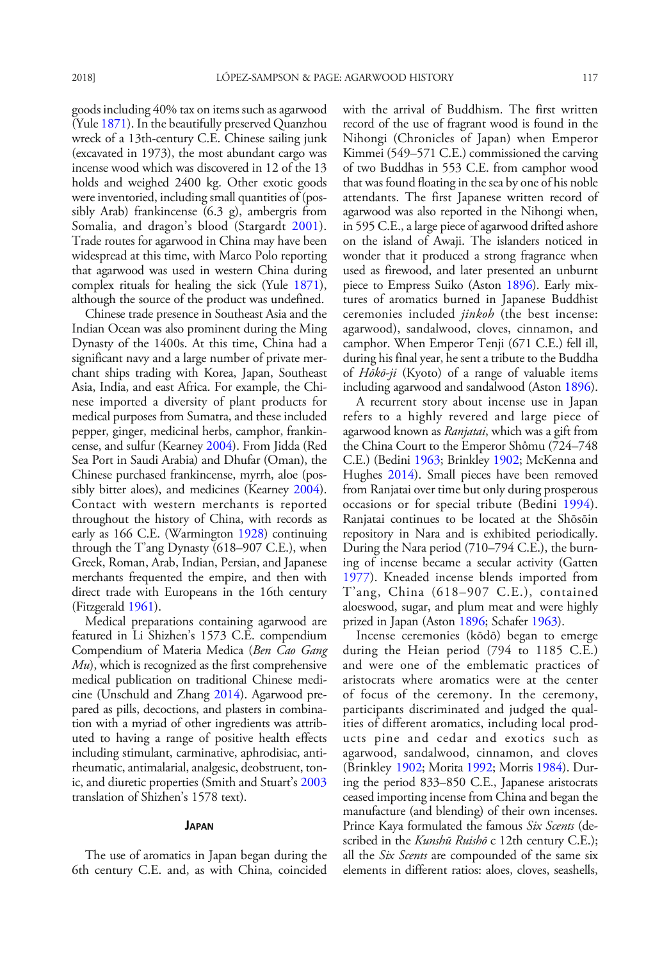goods including 40% tax on items such as agarwood (Yule [1871](#page-22-0)). In the beautifully preserved Quanzhou wreck of a 13th-century C.E. Chinese sailing junk (excavated in 1973), the most abundant cargo was incense wood which was discovered in 12 of the 13 holds and weighed 2400 kg. Other exotic goods were inventoried, including small quantities of (possibly Arab) frankincense (6.3 g), ambergris from Somalia, and dragon's blood (Stargardt [2001](#page-21-0)). Trade routes for agarwood in China may have been widespread at this time, with Marco Polo reporting that agarwood was used in western China during complex rituals for healing the sick (Yule [1871\)](#page-22-0), although the source of the product was undefined.

Chinese trade presence in Southeast Asia and the Indian Ocean was also prominent during the Ming Dynasty of the 1400s. At this time, China had a significant navy and a large number of private merchant ships trading with Korea, Japan, Southeast Asia, India, and east Africa. For example, the Chinese imported a diversity of plant products for medical purposes from Sumatra, and these included pepper, ginger, medicinal herbs, camphor, frankincense, and sulfur (Kearney [2004](#page-19-0)). From Jidda (Red Sea Port in Saudi Arabia) and Dhufar (Oman), the Chinese purchased frankincense, myrrh, aloe (possibly bitter aloes), and medicines (Kearney [2004\)](#page-19-0). Contact with western merchants is reported throughout the history of China, with records as early as 166 C.E. (Warmington [1928\)](#page-21-0) continuing through the T'ang Dynasty (618–907 C.E.), when Greek, Roman, Arab, Indian, Persian, and Japanese merchants frequented the empire, and then with direct trade with Europeans in the 16th century (Fitzgerald [1961](#page-17-0)).

Medical preparations containing agarwood are featured in Li Shizhen's 1573 C.E. compendium Compendium of Materia Medica (Ben Cao Gang  $M_u$ , which is recognized as the first comprehensive medical publication on traditional Chinese medicine (Unschuld and Zhang [2014\)](#page-21-0). Agarwood prepared as pills, decoctions, and plasters in combination with a myriad of other ingredients was attributed to having a range of positive health effects including stimulant, carminative, aphrodisiac, antirheumatic, antimalarial, analgesic, deobstruent, tonic, and diuretic properties (Smith and Stuart's [2003](#page-21-0) translation of Shizhen's 1578 text).

#### JAPAN

The use of aromatics in Japan began during the 6th century C.E. and, as with China, coincided with the arrival of Buddhism. The first written record of the use of fragrant wood is found in the Nihongi (Chronicles of Japan) when Emperor Kimmei (549–571 C.E.) commissioned the carving of two Buddhas in 553 C.E. from camphor wood that was found floating in the sea by one of his noble attendants. The first Japanese written record of agarwood was also reported in the Nihongi when, in 595 C.E., a large piece of agarwood drifted ashore on the island of Awaji. The islanders noticed in wonder that it produced a strong fragrance when used as firewood, and later presented an unburnt piece to Empress Suiko (Aston [1896](#page-16-0)). Early mixtures of aromatics burned in Japanese Buddhist ceremonies included jinkoh (the best incense: agarwood), sandalwood, cloves, cinnamon, and camphor. When Emperor Tenji (671 C.E.) fell ill, during his final year, he sent a tribute to the Buddha of Hōkō-ji (Kyoto) of a range of valuable items including agarwood and sandalwood (Aston [1896\)](#page-16-0).

A recurrent story about incense use in Japan refers to a highly revered and large piece of agarwood known as *Ranjatai*, which was a gift from the China Court to the Emperor Shômu (724–748 C.E.) (Bedini [1963;](#page-16-0) Brinkley [1902](#page-16-0); McKenna and Hughes [2014\)](#page-20-0). Small pieces have been removed from Ranjatai over time but only during prosperous occasions or for special tribute (Bedini [1994\)](#page-16-0). Ranjatai continues to be located at the Shōsōin repository in Nara and is exhibited periodically. During the Nara period (710–794 C.E.), the burning of incense became a secular activity (Gatten [1977](#page-18-0)). Kneaded incense blends imported from T'ang, China (618–907 C.E.), contained aloeswood, sugar, and plum meat and were highly prized in Japan (Aston [1896;](#page-16-0) Schafer [1963\)](#page-21-0).

Incense ceremonies (kōdō) began to emerge during the Heian period (794 to 1185 C.E.) and were one of the emblematic practices of aristocrats where aromatics were at the center of focus of the ceremony. In the ceremony, participants discriminated and judged the qualities of different aromatics, including local products pine and cedar and exotics such as agarwood, sandalwood, cinnamon, and cloves (Brinkley [1902](#page-16-0); Morita [1992](#page-20-0); Morris [1984\)](#page-20-0). During the period 833–850 C.E., Japanese aristocrats ceased importing incense from China and began the manufacture (and blending) of their own incenses. Prince Kaya formulated the famous Six Scents (described in the Kunshū Ruishō c 12th century C.E.); all the *Six Scents* are compounded of the same six elements in different ratios: aloes, cloves, seashells,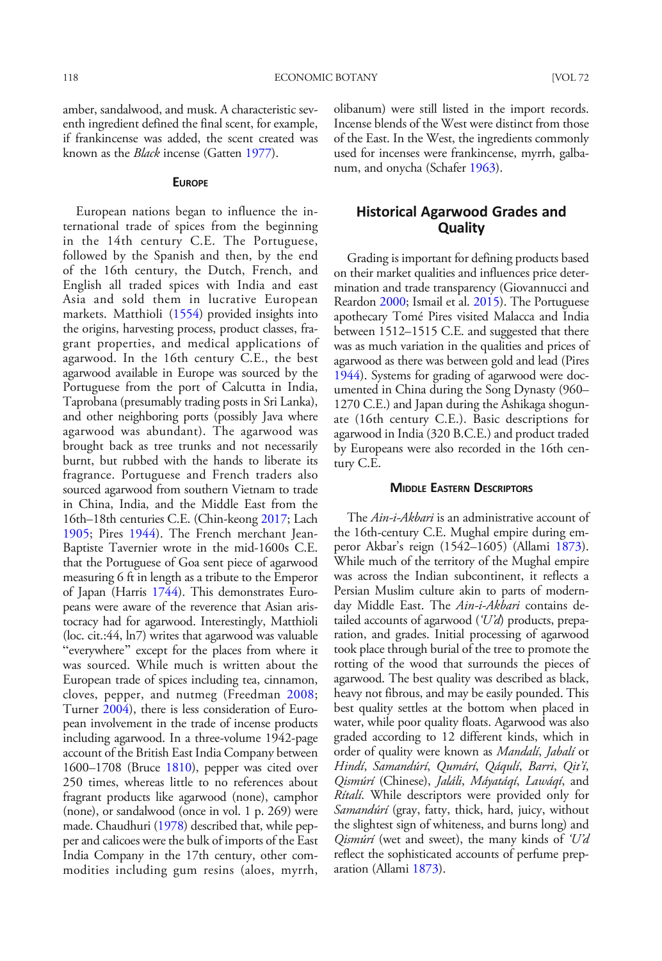amber, sandalwood, and musk. A characteristic seventh ingredient defined the final scent, for example, if frankincense was added, the scent created was known as the Black incense (Gatten [1977](#page-18-0)).

#### **EUROPE**

European nations began to influence the international trade of spices from the beginning in the 14th century C.E. The Portuguese, followed by the Spanish and then, by the end of the 16th century, the Dutch, French, and English all traded spices with India and east Asia and sold them in lucrative European markets. Matthioli ([1554](#page-19-0)) provided insights into the origins, harvesting process, product classes, fragrant properties, and medical applications of agarwood. In the 16th century C.E., the best agarwood available in Europe was sourced by the Portuguese from the port of Calcutta in India, Taprobana (presumably trading posts in Sri Lanka), and other neighboring ports (possibly Java where agarwood was abundant). The agarwood was brought back as tree trunks and not necessarily burnt, but rubbed with the hands to liberate its fragrance. Portuguese and French traders also sourced agarwood from southern Vietnam to trade in China, India, and the Middle East from the 16th–18th centuries C.E. (Chin-keong [2017](#page-17-0); Lach [1905](#page-19-0); Pires [1944\)](#page-20-0). The French merchant Jean-Baptiste Tavernier wrote in the mid-1600s C.E. that the Portuguese of Goa sent piece of agarwood measuring 6 ft in length as a tribute to the Emperor of Japan (Harris [1744](#page-18-0)). This demonstrates Europeans were aware of the reverence that Asian aristocracy had for agarwood. Interestingly, Matthioli (loc. cit.:44, ln7) writes that agarwood was valuable "everywhere" except for the places from where it was sourced. While much is written about the European trade of spices including tea, cinnamon, cloves, pepper, and nutmeg (Freedman [2008;](#page-17-0) Turner [2004\)](#page-21-0), there is less consideration of European involvement in the trade of incense products including agarwood. In a three-volume 1942-page account of the British East India Company between 1600–1708 (Bruce [1810\)](#page-16-0), pepper was cited over 250 times, whereas little to no references about fragrant products like agarwood (none), camphor (none), or sandalwood (once in vol. 1 p. 269) were made. Chaudhuri [\(1978\)](#page-17-0) described that, while pepper and calicoes were the bulk of imports of the East India Company in the 17th century, other commodities including gum resins (aloes, myrrh,

olibanum) were still listed in the import records. Incense blends of the West were distinct from those of the East. In the West, the ingredients commonly used for incenses were frankincense, myrrh, galbanum, and onycha (Schafer [1963](#page-21-0)).

# Historical Agarwood Grades and **Quality**

Grading is important for defining products based on their market qualities and influences price determination and trade transparency (Giovannucci and Reardon [2000](#page-18-0); Ismail et al. [2015](#page-18-0)). The Portuguese apothecary Tomé Pires visited Malacca and India between 1512–1515 C.E. and suggested that there was as much variation in the qualities and prices of agarwood as there was between gold and lead (Pires [1944\)](#page-20-0). Systems for grading of agarwood were documented in China during the Song Dynasty (960– 1270 C.E.) and Japan during the Ashikaga shogunate (16th century C.E.). Basic descriptions for agarwood in India (320 B.C.E.) and product traded by Europeans were also recorded in the 16th century C.E.

### MIDDLE EASTERN DESCRIPTORS

The *Ain-i-Akbari* is an administrative account of the 16th-century C.E. Mughal empire during emperor Akbar's reign (1542–1605) (Allami [1873](#page-16-0)). While much of the territory of the Mughal empire was across the Indian subcontinent, it reflects a Persian Muslim culture akin to parts of modernday Middle East. The Ain-i-Akbari contains detailed accounts of agarwood  $(U'd)$  products, preparation, and grades. Initial processing of agarwood took place through burial of the tree to promote the rotting of the wood that surrounds the pieces of agarwood. The best quality was described as black, heavy not fibrous, and may be easily pounded. This best quality settles at the bottom when placed in water, while poor quality floats. Agarwood was also graded according to 12 different kinds, which in order of quality were known as Mandalí, Jabalí or Hindí, Samandúrí, Qumárí, Qáqulí, Barri, Qit'í, Qismúrí (Chinese), Jaláli, Máyatáqí, Lawáqí, and Rítalí. While descriptors were provided only for Samandúrí (gray, fatty, thick, hard, juicy, without the slightest sign of whiteness, and burns long) and Qismúrí (wet and sweet), the many kinds of 'U'd reflect the sophisticated accounts of perfume preparation (Allami [1873\)](#page-16-0).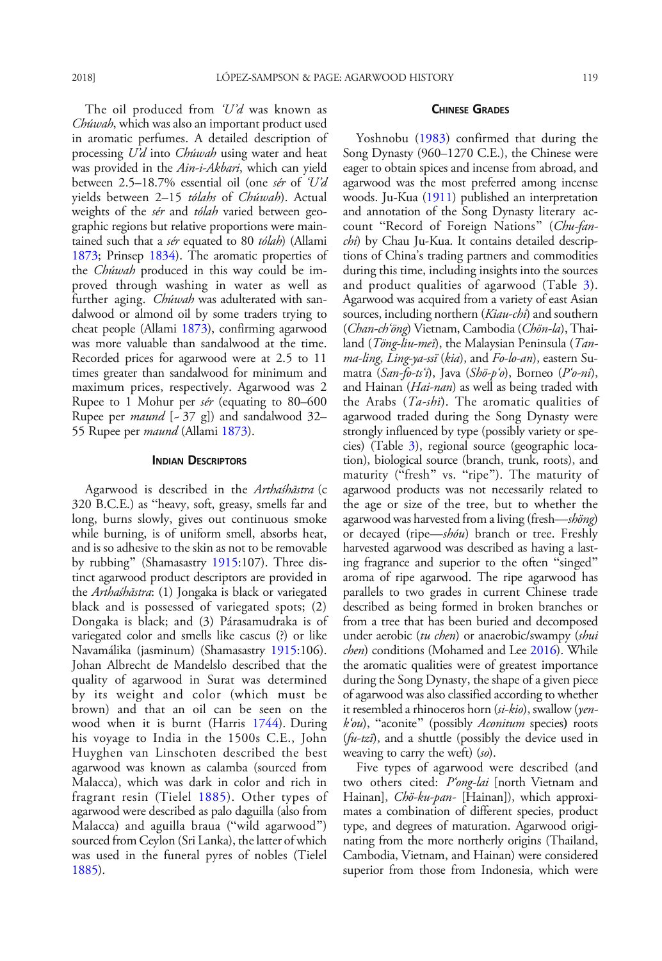<span id="page-12-0"></span>The oil produced from  $U'd$  was known as Chúwah, which was also an important product used in aromatic perfumes. A detailed description of processing U'd into Chúwah using water and heat was provided in the Ain-i-Akbari, which can yield between 2.5–18.7% essential oil (one sér of 'U'd yields between 2-15 tólahs of Chúwah). Actual weights of the *sér* and *tólah* varied between geographic regions but relative proportions were maintained such that a sér equated to 80 tólah) (Allami [1873](#page-16-0); Prinsep [1834](#page-21-0)). The aromatic properties of the Chúwah produced in this way could be improved through washing in water as well as further aging. *Chúwah* was adulterated with sandalwood or almond oil by some traders trying to cheat people (Allami [1873](#page-16-0)), confirming agarwood was more valuable than sandalwood at the time. Recorded prices for agarwood were at 2.5 to 11 times greater than sandalwood for minimum and maximum prices, respectively. Agarwood was 2 Rupee to 1 Mohur per sér (equating to 80–600 Rupee per *maund* [-37 g]) and sandalwood 32– 55 Rupee per *maund* (Allami [1873](#page-16-0)).

#### INDIAN DESCRIPTORS

Agarwood is described in the Arthaśhāstra (c 320 B.C.E.) as "heavy, soft, greasy, smells far and long, burns slowly, gives out continuous smoke while burning, is of uniform smell, absorbs heat, and is so adhesive to the skin as not to be removable by rubbing" (Shamasastry [1915](#page-21-0):107). Three distinct agarwood product descriptors are provided in the Arthaśhāstra: (1) Jongaka is black or variegated black and is possessed of variegated spots; (2) Dongaka is black; and (3) Párasamudraka is of variegated color and smells like cascus (?) or like Navamálika (jasminum) (Shamasastry [1915](#page-21-0):106). Johan Albrecht de Mandelslo described that the quality of agarwood in Surat was determined by its weight and color (which must be brown) and that an oil can be seen on the wood when it is burnt (Harris [1744\)](#page-18-0). During his voyage to India in the 1500s C.E., John Huyghen van Linschoten described the best agarwood was known as calamba (sourced from Malacca), which was dark in color and rich in fragrant resin (Tielel [1885\)](#page-21-0). Other types of agarwood were described as palo daguilla (also from Malacca) and aguilla braua ("wild agarwood") sourced from Ceylon (Sri Lanka), the latter of which was used in the funeral pyres of nobles (Tielel [1885](#page-21-0)).

### CHINESE GRADES

Yoshnobu ([1983](#page-22-0)) confirmed that during the Song Dynasty (960–1270 C.E.), the Chinese were eager to obtain spices and incense from abroad, and agarwood was the most preferred among incense woods. Ju-Kua ([1911](#page-18-0)) published an interpretation and annotation of the Song Dynasty literary account "Record of Foreign Nations" (Chu-fanchi) by Chau Ju-Kua. It contains detailed descriptions of China's trading partners and commodities during this time, including insights into the sources and product qualities of agarwood (Table [3](#page-13-0)). Agarwood was acquired from a variety of east Asian sources, including northern (Kiau-chi) and southern (Chan-ch'öng) Vietnam, Cambodia (Chön-la), Thailand (Töng-liu-mei), the Malaysian Peninsula (Tanma-ling, Ling-ya-ssï (kia), and Fo-lo-an), eastern Sumatra (San-fo-ts'i), Java (Shö-p'o), Borneo (P'o-ni), and Hainan (*Hai-nan*) as well as being traded with the Arabs  $(Ta\text{-}shi)$ . The aromatic qualities of agarwood traded during the Song Dynasty were strongly influenced by type (possibly variety or species) (Table [3](#page-13-0)), regional source (geographic location), biological source (branch, trunk, roots), and maturity ("fresh" vs. "ripe"). The maturity of agarwood products was not necessarily related to the age or size of the tree, but to whether the agarwood was harvested from a living (fresh—shöng) or decayed (ripe—shóu) branch or tree. Freshly harvested agarwood was described as having a lasting fragrance and superior to the often "singed" aroma of ripe agarwood. The ripe agarwood has parallels to two grades in current Chinese trade described as being formed in broken branches or from a tree that has been buried and decomposed under aerobic (tu chen) or anaerobic/swampy (shui chen) conditions (Mohamed and Lee [2016](#page-20-0)). While the aromatic qualities were of greatest importance during the Song Dynasty, the shape of a given piece of agarwood was also classified according to whether it resembled a rhinoceros horn (si-kio), swallow (yen $k'ou$ , "aconite" (possibly Aconitum species) roots  $(fu-tzi)$ , and a shuttle (possibly the device used in weaving to carry the weft)  $(s_0)$ .

Five types of agarwood were described (and two others cited: P'ong-lai [north Vietnam and Hainan], *Chö-ku-pan*- [Hainan]), which approximates a combination of different species, product type, and degrees of maturation. Agarwood originating from the more northerly origins (Thailand, Cambodia, Vietnam, and Hainan) were considered superior from those from Indonesia, which were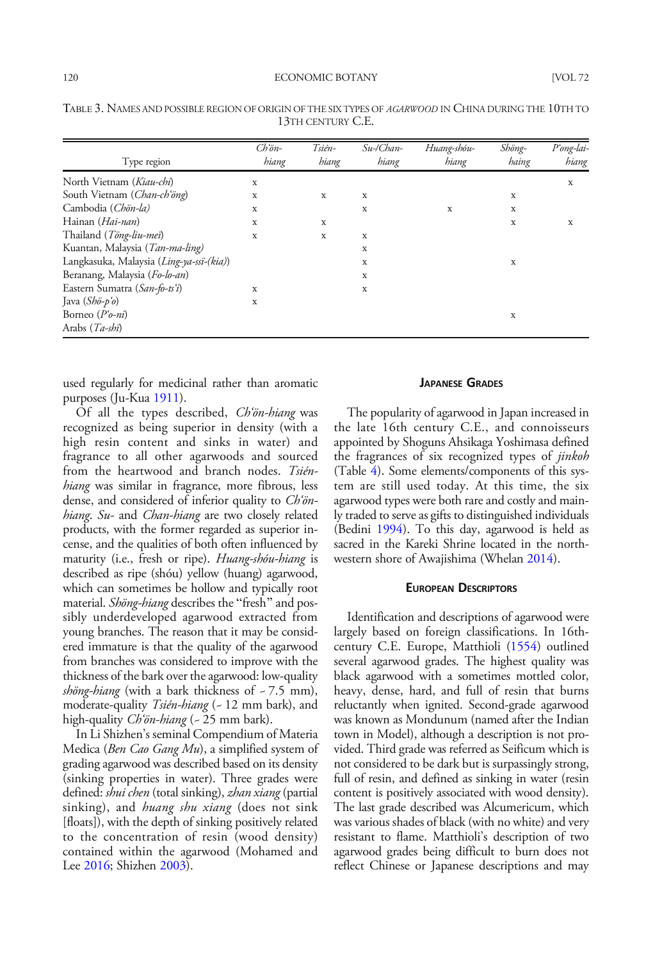| Type region                              | $Ch\ddot{o}n-$<br>hiang | Tsién-<br>hiang | $Su$ -/Chan-<br>hiang | Huang-shóu-<br>hiang | Shöng-<br>haing | P'ong-lai-<br>hiang |
|------------------------------------------|-------------------------|-----------------|-----------------------|----------------------|-----------------|---------------------|
| North Vietnam (Kiau-chi)                 | X                       |                 |                       |                      |                 | X                   |
| South Vietnam (Chan-ch'öng)              | X                       | X               | x                     |                      | x               |                     |
| Cambodia (Chön-la)                       | X                       |                 | X                     | X                    | X               |                     |
| Hainan (Hai-nan)                         | X                       | X               |                       |                      | X               | X                   |
| Thailand (Töng-liu-mei)                  | X                       | X               | X                     |                      |                 |                     |
| Kuantan, Malaysia (Tan-ma-ling)          |                         |                 | X                     |                      |                 |                     |
| Langkasuka, Malaysia (Ling-ya-ssi-(kia)) |                         |                 | X                     |                      | X               |                     |
| Beranang, Malaysia (Fo-lo-an)            |                         |                 | X                     |                      |                 |                     |
| Eastern Sumatra (San-fo-ts'i)            | X                       |                 | X                     |                      |                 |                     |
| Java $(Sh\ddot{o}-p'\dot{o})$            | x                       |                 |                       |                      |                 |                     |
| Borneo $(P'_{\theta} - ni)$              |                         |                 |                       |                      | X               |                     |
| Arabs (Ta-shi)                           |                         |                 |                       |                      |                 |                     |

<span id="page-13-0"></span>TABLE 3. NAMES AND POSSIBLE REGION OF ORIGIN OF THE SIX TYPES OF AGARWOOD IN CHINA DURING THE 10TH TO 13TH CENTURY C.E.

used regularly for medicinal rather than aromatic purposes (Ju-Kua [1911](#page-18-0)).

Of all the types described, Ch'ön-hiang was recognized as being superior in density (with a high resin content and sinks in water) and fragrance to all other agarwoods and sourced from the heartwood and branch nodes. Tsiénhiang was similar in fragrance, more fibrous, less dense, and considered of inferior quality to *Ch'ön*hiang. Su- and Chan-hiang are two closely related products, with the former regarded as superior incense, and the qualities of both often influenced by maturity (i.e., fresh or ripe). Huang-shóu-hiang is described as ripe (shóu) yellow (huang) agarwood, which can sometimes be hollow and typically root material. Shöng-hiang describes the "fresh" and possibly underdeveloped agarwood extracted from young branches. The reason that it may be considered immature is that the quality of the agarwood from branches was considered to improve with the thickness of the bark over the agarwood: low-quality shöng-hiang (with a bark thickness of  $-7.5$  mm), moderate-quality Tsién-hiang (~ 12 mm bark), and high-quality *Ch'ön-hiang* (~ 25 mm bark).

In Li Shizhen's seminal Compendium of Materia Medica (Ben Cao Gang Mu), a simplified system of grading agarwood was described based on its density (sinking properties in water). Three grades were defined: shui chen (total sinking), zhan xiang (partial sinking), and *huang shu xiang* (does not sink [floats]), with the depth of sinking positively related to the concentration of resin (wood density) contained within the agarwood (Mohamed and Lee [2016](#page-20-0); Shizhen [2003](#page-21-0)).

# JAPANESE GRADES

The popularity of agarwood in Japan increased in the late 16th century C.E., and connoisseurs appointed by Shoguns Ahsikaga Yoshimasa defined the fragrances of six recognized types of *jinkoh* (Table [4\)](#page-14-0). Some elements/components of this system are still used today. At this time, the six agarwood types were both rare and costly and mainly traded to serve as gifts to distinguished individuals (Bedini [1994\)](#page-16-0). To this day, agarwood is held as sacred in the Kareki Shrine located in the northwestern shore of Awajishima (Whelan [2014\)](#page-22-0).

#### EUROPEAN DESCRIPTORS

Identification and descriptions of agarwood were largely based on foreign classifications. In 16thcentury C.E. Europe, Matthioli ([1554\)](#page-19-0) outlined several agarwood grades. The highest quality was black agarwood with a sometimes mottled color, heavy, dense, hard, and full of resin that burns reluctantly when ignited. Second-grade agarwood was known as Mondunum (named after the Indian town in Model), although a description is not provided. Third grade was referred as Seificum which is not considered to be dark but is surpassingly strong, full of resin, and defined as sinking in water (resin content is positively associated with wood density). The last grade described was Alcumericum, which was various shades of black (with no white) and very resistant to flame. Matthioli's description of two agarwood grades being difficult to burn does not reflect Chinese or Japanese descriptions and may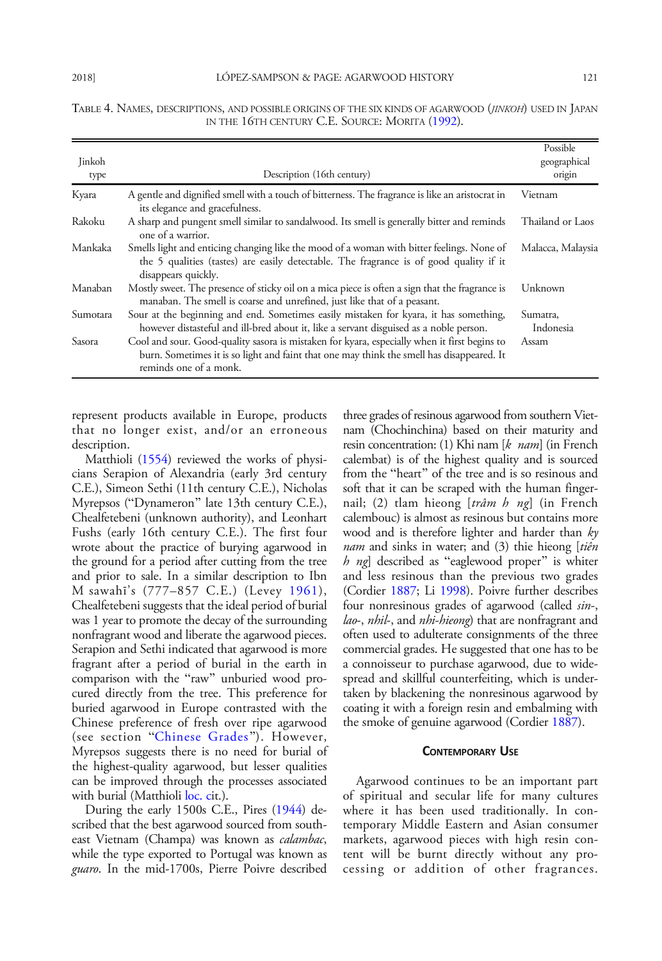|          |                                                                                                                                                                                                                     | Possible              |
|----------|---------------------------------------------------------------------------------------------------------------------------------------------------------------------------------------------------------------------|-----------------------|
| Jinkoh   |                                                                                                                                                                                                                     | geographical          |
| type     | Description (16th century)                                                                                                                                                                                          | origin                |
| Kyara    | A gentle and dignified smell with a touch of bitterness. The fragrance is like an aristocrat in<br>its elegance and gracefulness.                                                                                   | Vietnam               |
| Rakoku   | A sharp and pungent smell similar to sandalwood. Its smell is generally bitter and reminds<br>one of a warrior.                                                                                                     | Thailand or Laos      |
| Mankaka  | Smells light and enticing changing like the mood of a woman with bitter feelings. None of<br>the 5 qualities (tastes) are easily detectable. The fragrance is of good quality if it<br>disappears quickly.          | Malacca, Malaysia     |
| Manaban  | Mostly sweet. The presence of sticky oil on a mica piece is often a sign that the fragrance is<br>manaban. The smell is coarse and unrefined, just like that of a peasant.                                          | Unknown               |
| Sumotara | Sour at the beginning and end. Sometimes easily mistaken for kyara, it has something,<br>however distasteful and ill-bred about it, like a servant disguised as a noble person.                                     | Sumatra,<br>Indonesia |
| Sasora   | Cool and sour. Good-quality sasora is mistaken for kyara, especially when it first begins to<br>burn. Sometimes it is so light and faint that one may think the smell has disappeared. It<br>reminds one of a monk. | Assam                 |

<span id="page-14-0"></span>TABLE 4. NAMES, DESCRIPTIONS, AND POSSIBLE ORIGINS OF THE SIX KINDS OF AGARWOOD (JINKOH) USED IN JAPAN IN THE 16TH CENTURY C.E. SOURCE: MORITA [\(1992](#page-20-0)).

represent products available in Europe, products that no longer exist, and/or an erroneous description.

Matthioli [\(1554\)](#page-19-0) reviewed the works of physicians Serapion of Alexandria (early 3rd century C.E.), Simeon Sethi (11th century C.E.), Nicholas Myrepsos ("Dynameron" late 13th century C.E.), Chealfetebeni (unknown authority), and Leonhart Fushs (early 16th century C.E.). The first four wrote about the practice of burying agarwood in the ground for a period after cutting from the tree and prior to sale. In a similar description to Ibn M sawahī's (777–857 C.E.) (Levey [1961\)](#page-19-0), Chealfetebeni suggests that the ideal period of burial was 1 year to promote the decay of the surrounding nonfragrant wood and liberate the agarwood pieces. Serapion and Sethi indicated that agarwood is more fragrant after a period of burial in the earth in comparison with the "raw" unburied wood procured directly from the tree. This preference for buried agarwood in Europe contrasted with the Chinese preference of fresh over ripe agarwood (see section "[Chinese Grades](#page-12-0)"). However, Myrepsos suggests there is no need for burial of the highest-quality agarwood, but lesser qualities can be improved through the processes associated with burial (Matthioli [loc. c](#page-19-0)it.).

During the early 1500s C.E., Pires ([1944](#page-20-0)) described that the best agarwood sourced from southeast Vietnam (Champa) was known as *calambac*, while the type exported to Portugal was known as guaro. In the mid-1700s, Pierre Poivre described

three grades of resinous agarwood from southern Vietnam (Chochinchina) based on their maturity and resin concentration: (1) Khi nam [k nam] (in French calembat) is of the highest quality and is sourced from the "heart" of the tree and is so resinous and soft that it can be scraped with the human fingernail; (2) tlam hieong [trâm h ng] (in French calembouc) is almost as resinous but contains more wood and is therefore lighter and harder than  $ky$ nam and sinks in water; and (3) thie hieong [tiên  $h$  ng] described as "eaglewood proper" is whiter and less resinous than the previous two grades (Cordier [1887](#page-17-0); Li [1998](#page-19-0)). Poivre further describes four nonresinous grades of agarwood (called sin-, lao-, nhil-, and nhi-hieong) that are nonfragrant and often used to adulterate consignments of the three commercial grades. He suggested that one has to be a connoisseur to purchase agarwood, due to widespread and skillful counterfeiting, which is undertaken by blackening the nonresinous agarwood by coating it with a foreign resin and embalming with the smoke of genuine agarwood (Cordier [1887](#page-17-0)).

#### CONTEMPORARY USE

Agarwood continues to be an important part of spiritual and secular life for many cultures where it has been used traditionally. In contemporary Middle Eastern and Asian consumer markets, agarwood pieces with high resin content will be burnt directly without any processing or addition of other fragrances.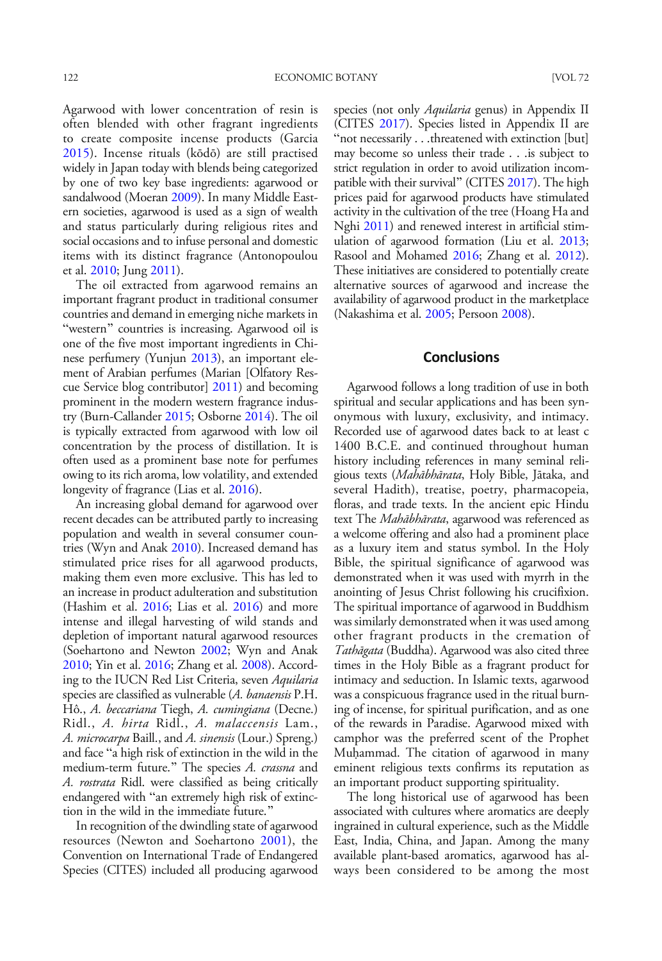Agarwood with lower concentration of resin is often blended with other fragrant ingredients to create composite incense products (Garcia [2015](#page-17-0)). Incense rituals (kōdō) are still practised widely in Japan today with blends being categorized by one of two key base ingredients: agarwood or sandalwood (Moeran [2009\)](#page-20-0). In many Middle Eastern societies, agarwood is used as a sign of wealth and status particularly during religious rites and social occasions and to infuse personal and domestic items with its distinct fragrance (Antonopoulou et al. [2010](#page-16-0); Jung [2011](#page-18-0)).

The oil extracted from agarwood remains an important fragrant product in traditional consumer countries and demand in emerging niche markets in "western" countries is increasing. Agarwood oil is one of the five most important ingredients in Chinese perfumery (Yunjun [2013\)](#page-22-0), an important element of Arabian perfumes (Marian [Olfatory Rescue Service blog contributor] [2011\)](#page-19-0) and becoming prominent in the modern western fragrance industry (Burn-Callander [2015](#page-17-0); Osborne [2014\)](#page-20-0). The oil is typically extracted from agarwood with low oil concentration by the process of distillation. It is often used as a prominent base note for perfumes owing to its rich aroma, low volatility, and extended longevity of fragrance (Lias et al. [2016\)](#page-19-0).

An increasing global demand for agarwood over recent decades can be attributed partly to increasing population and wealth in several consumer countries (Wyn and Anak [2010\)](#page-22-0). Increased demand has stimulated price rises for all agarwood products, making them even more exclusive. This has led to an increase in product adulteration and substitution (Hashim et al. [2016;](#page-18-0) Lias et al. [2016](#page-19-0)) and more intense and illegal harvesting of wild stands and depletion of important natural agarwood resources (Soehartono and Newton [2002](#page-21-0); Wyn and Anak [2010;](#page-22-0) Yin et al. [2016;](#page-22-0) Zhang et al. [2008\)](#page-22-0). According to the IUCN Red List Criteria, seven Aquilaria species are classified as vulnerable (A. banaensis P.H. Hô., A. beccariana Tiegh, A. cumingiana (Decne.) Ridl., A. hirta Ridl., A. malaccensis Lam., A. *microcarpa* Baill., and A. *sinensis* (Lour.) Spreng.) and face "a high risk of extinction in the wild in the medium-term future." The species A. crassna and A. rostrata Ridl. were classified as being critically endangered with "an extremely high risk of extinction in the wild in the immediate future."

In recognition of the dwindling state of agarwood resources (Newton and Soehartono [2001\)](#page-20-0), the Convention on International Trade of Endangered Species (CITES) included all producing agarwood

species (not only *Aquilaria* genus) in Appendix II (CITES [2017\)](#page-17-0). Species listed in Appendix II are "not necessarily . . .threatened with extinction [but] may become so unless their trade . . .is subject to strict regulation in order to avoid utilization incom-patible with their survival" (CITES [2017\)](#page-17-0). The high prices paid for agarwood products have stimulated activity in the cultivation of the tree (Hoang Ha and Nghi [2011](#page-18-0)) and renewed interest in artificial stimulation of agarwood formation (Liu et al. [2013](#page-19-0); Rasool and Mohamed [2016;](#page-21-0) Zhang et al. [2012](#page-22-0)). These initiatives are considered to potentially create alternative sources of agarwood and increase the availability of agarwood product in the marketplace (Nakashima et al. [2005](#page-20-0); Persoon [2008\)](#page-20-0).

# Conclusions

Agarwood follows a long tradition of use in both spiritual and secular applications and has been synonymous with luxury, exclusivity, and intimacy. Recorded use of agarwood dates back to at least c 1400 B.C.E. and continued throughout human history including references in many seminal religious texts (Mahābhārata, Holy Bible, Jātaka, and several Hadith), treatise, poetry, pharmacopeia, floras, and trade texts. In the ancient epic Hindu text The Mahābhārata, agarwood was referenced as a welcome offering and also had a prominent place as a luxury item and status symbol. In the Holy Bible, the spiritual significance of agarwood was demonstrated when it was used with myrrh in the anointing of Jesus Christ following his crucifixion. The spiritual importance of agarwood in Buddhism was similarly demonstrated when it was used among other fragrant products in the cremation of Tathāgata (Buddha). Agarwood was also cited three times in the Holy Bible as a fragrant product for intimacy and seduction. In Islamic texts, agarwood was a conspicuous fragrance used in the ritual burning of incense, for spiritual purification, and as one of the rewards in Paradise. Agarwood mixed with camphor was the preferred scent of the Prophet Muḥammad. The citation of agarwood in many eminent religious texts confirms its reputation as an important product supporting spirituality.

The long historical use of agarwood has been associated with cultures where aromatics are deeply ingrained in cultural experience, such as the Middle East, India, China, and Japan. Among the many available plant-based aromatics, agarwood has always been considered to be among the most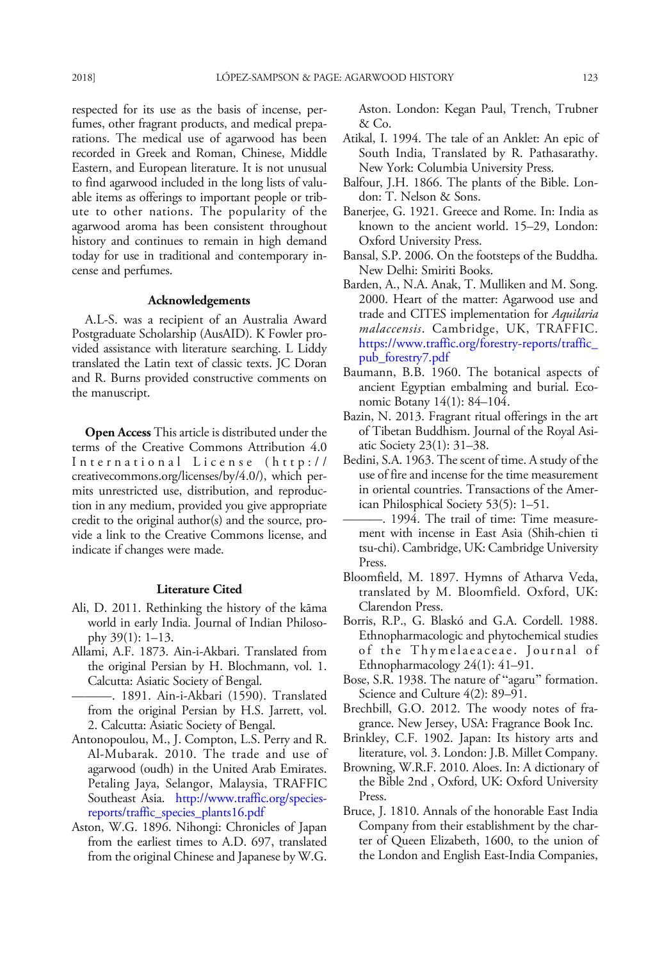<span id="page-16-0"></span>respected for its use as the basis of incense, perfumes, other fragrant products, and medical preparations. The medical use of agarwood has been recorded in Greek and Roman, Chinese, Middle Eastern, and European literature. It is not unusual to find agarwood included in the long lists of valuable items as offerings to important people or tribute to other nations. The popularity of the agarwood aroma has been consistent throughout history and continues to remain in high demand today for use in traditional and contemporary incense and perfumes.

### Acknowledgements

A.L-S. was a recipient of an Australia Award Postgraduate Scholarship (AusAID). K Fowler provided assistance with literature searching. L Liddy translated the Latin text of classic texts. JC Doran and R. Burns provided constructive comments on the manuscript.

Open Access This article is distributed under the terms of the Creative Commons Attribution 4.0 International License (http:// creativecommons.org/licenses/by/4.0/), which permits unrestricted use, distribution, and reproduction in any medium, provided you give appropriate credit to the original author(s) and the source, provide a link to the Creative Commons license, and indicate if changes were made.

#### Literature Cited

- Ali, D. 2011. Rethinking the history of the kāma world in early India. Journal of Indian Philosophy 39(1): 1–13.
- Allami, A.F. 1873. Ain-i-Akbari. Translated from the original Persian by H. Blochmann, vol. 1. Calcutta: Asiatic Society of Bengal.
	- ———. 1891. Ain-i-Akbari (1590). Translated from the original Persian by H.S. Jarrett, vol. 2. Calcutta: Asiatic Society of Bengal.
- Antonopoulou, M., J. Compton, L.S. Perry and R. Al-Mubarak. 2010. The trade and use of agarwood (oudh) in the United Arab Emirates. Petaling Jaya, Selangor, Malaysia, TRAFFIC Southeast Asia. [http://www.traffic.org/species](http://www.traffic.org/species-reports/traffic_species_plants16.pdf)[reports/traffic\\_species\\_plants16.pdf](http://www.traffic.org/species-reports/traffic_species_plants16.pdf)
- Aston, W.G. 1896. Nihongi: Chronicles of Japan from the earliest times to A.D. 697, translated from the original Chinese and Japanese by W.G.

Aston. London: Kegan Paul, Trench, Trubner & Co.

- Atikal, I. 1994. The tale of an Anklet: An epic of South India, Translated by R. Pathasarathy. New York: Columbia University Press.
- Balfour, J.H. 1866. The plants of the Bible. London: T. Nelson & Sons.
- Banerjee, G. 1921. Greece and Rome. In: India as known to the ancient world. 15–29, London: Oxford University Press.
- Bansal, S.P. 2006. On the footsteps of the Buddha. New Delhi: Smiriti Books.
- Barden, A., N.A. Anak, T. Mulliken and M. Song. 2000. Heart of the matter: Agarwood use and trade and CITES implementation for *Aquilaria* malaccensis. Cambridge, UK, TRAFFIC. [https://www.traffic.org/forestry-reports/traffic\\_](https://www.traffic.org/forestry-reports/traffic_pub_forestry7.pdf) [pub\\_forestry7.pdf](https://www.traffic.org/forestry-reports/traffic_pub_forestry7.pdf)
- Baumann, B.B. 1960. The botanical aspects of ancient Egyptian embalming and burial. Economic Botany 14(1): 84–104.
- Bazin, N. 2013. Fragrant ritual offerings in the art of Tibetan Buddhism. Journal of the Royal Asiatic Society 23(1): 31–38.
- Bedini, S.A. 1963. The scent of time. A study of the use of fire and incense for the time measurement in oriental countries. Transactions of the American Philosphical Society 53(5): 1–51.
- -. 1994. The trail of time: Time measurement with incense in East Asia (Shih-chien ti tsu-chi). Cambridge, UK: Cambridge University Press.
- Bloomfield, M. 1897. Hymns of Atharva Veda, translated by M. Bloomfield. Oxford, UK: Clarendon Press.
- Borris, R.P., G. Blaskó and G.A. Cordell. 1988. Ethnopharmacologic and phytochemical studies of the Thymelaeaceae. Journal of Ethnopharmacology 24(1): 41–91.
- Bose, S.R. 1938. The nature of "agaru" formation. Science and Culture 4(2): 89–91.
- Brechbill, G.O. 2012. The woody notes of fragrance. New Jersey, USA: Fragrance Book Inc.
- Brinkley, C.F. 1902. Japan: Its history arts and literature, vol. 3. London: J.B. Millet Company.
- Browning, W.R.F. 2010. Aloes. In: A dictionary of the Bible 2nd , Oxford, UK: Oxford University Press.
- Bruce, J. 1810. Annals of the honorable East India Company from their establishment by the charter of Queen Elizabeth, 1600, to the union of the London and English East-India Companies,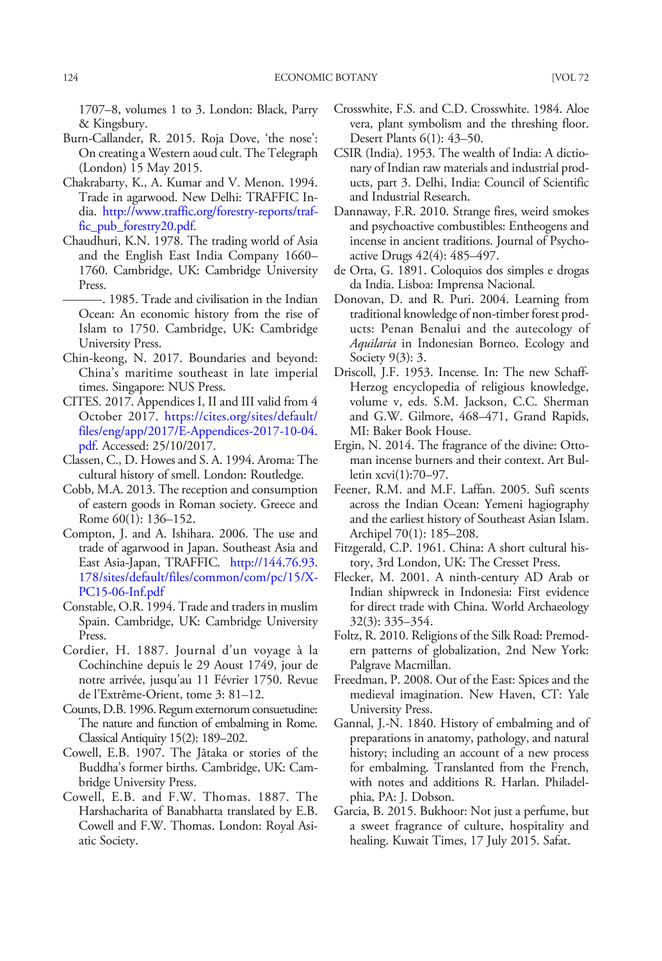<span id="page-17-0"></span>1707–8, volumes 1 to 3. London: Black, Parry & Kingsbury.

- Burn-Callander, R. 2015. Roja Dove, 'the nose': On creating a Western aoud cult. The Telegraph (London) 15 May 2015.
- Chakrabarty, K., A. Kumar and V. Menon. 1994. Trade in agarwood. New Delhi: TRAFFIC India. [http://www.traffic.org/forestry-reports/traf](http://www.traffic.org/forestry-reports/traffic_pub_forestry20.pdf)[fic\\_pub\\_forestry20.pdf.](http://www.traffic.org/forestry-reports/traffic_pub_forestry20.pdf)
- Chaudhuri, K.N. 1978. The trading world of Asia and the English East India Company 1660– 1760. Cambridge, UK: Cambridge University Press.
	- ———. 1985. Trade and civilisation in the Indian Ocean: An economic history from the rise of Islam to 1750. Cambridge, UK: Cambridge University Press.
- Chin-keong, N. 2017. Boundaries and beyond: China's maritime southeast in late imperial times. Singapore: NUS Press.
- CITES. 2017. Appendices I, II and III valid from 4 October 2017. [https://cites.org/sites/default/](https://cites.org/sites/default/files/eng/app/2017/E-Appendices-2017-10-04.pdf) [files/eng/app/2017/E-Appendices-2017-10-04.](https://cites.org/sites/default/files/eng/app/2017/E-Appendices-2017-10-04.pdf) [pdf](https://cites.org/sites/default/files/eng/app/2017/E-Appendices-2017-10-04.pdf). Accessed: 25/10/2017.
- Classen, C., D. Howes and S. A. 1994. Aroma: The cultural history of smell. London: Routledge.
- Cobb, M.A. 2013. The reception and consumption of eastern goods in Roman society. Greece and Rome 60(1): 136–152.
- Compton, J. and A. Ishihara. 2006. The use and trade of agarwood in Japan. Southeast Asia and East Asia-Japan, TRAFFIC. [http://144.76.93.](http://144.76.93.178/sites/default/files/common/com/pc/15/X-PC15-06-Inf.pdf) [178/sites/default/files/common/com/pc/15/X-](http://144.76.93.178/sites/default/files/common/com/pc/15/X-PC15-06-Inf.pdf)[PC15-06-Inf.pdf](http://144.76.93.178/sites/default/files/common/com/pc/15/X-PC15-06-Inf.pdf)
- Constable, O.R. 1994. Trade and traders in muslim Spain. Cambridge, UK: Cambridge University Press.
- Cordier, H. 1887. Journal d'un voyage à la Cochinchine depuis le 29 Aoust 1749, jour de notre arrivée, jusqu'au 11 Février 1750. Revue de l'Extrême-Orient, tome 3: 81–12.
- Counts, D.B. 1996. Regum externorum consuetudine: The nature and function of embalming in Rome. Classical Antiquity 15(2): 189–202.
- Cowell, E.B. 1907. The Jātaka or stories of the Buddha's former births. Cambridge, UK: Cambridge University Press.
- Cowell, E.B. and F.W. Thomas. 1887. The Harshacharita of Banabhatta translated by E.B. Cowell and F.W. Thomas. London: Royal Asiatic Society.
- Crosswhite, F.S. and C.D. Crosswhite. 1984. Aloe vera, plant symbolism and the threshing floor. Desert Plants 6(1): 43–50.
- CSIR (India). 1953. The wealth of India: A dictionary of Indian raw materials and industrial products, part 3. Delhi, India: Council of Scientific and Industrial Research.
- Dannaway, F.R. 2010. Strange fires, weird smokes and psychoactive combustibles: Entheogens and incense in ancient traditions. Journal of Psychoactive Drugs 42(4): 485–497.
- de Orta, G. 1891. Coloquios dos simples e drogas da India. Lisboa: Imprensa Nacional.
- Donovan, D. and R. Puri. 2004. Learning from traditional knowledge of non-timber forest products: Penan Benalui and the autecology of Aquilaria in Indonesian Borneo. Ecology and Society 9(3): 3.
- Driscoll, J.F. 1953. Incense. In: The new Schaff-Herzog encyclopedia of religious knowledge, volume v, eds. S.M. Jackson, C.C. Sherman and G.W. Gilmore, 468–471, Grand Rapids, MI: Baker Book House.
- Ergin, N. 2014. The fragrance of the divine: Ottoman incense burners and their context. Art Bulletin xcvi(1):70–97.
- Feener, R.M. and M.F. Laffan. 2005. Sufi scents across the Indian Ocean: Yemeni hagiography and the earliest history of Southeast Asian Islam. Archipel 70(1): 185–208.
- Fitzgerald, C.P. 1961. China: A short cultural history, 3rd London, UK: The Cresset Press.
- Flecker, M. 2001. A ninth-century AD Arab or Indian shipwreck in Indonesia: First evidence for direct trade with China. World Archaeology 32(3): 335–354.
- Foltz, R. 2010. Religions of the Silk Road: Premodern patterns of globalization, 2nd New York: Palgrave Macmillan.
- Freedman, P. 2008. Out of the East: Spices and the medieval imagination. New Haven, CT: Yale University Press.
- Gannal, J.-N. 1840. History of embalming and of preparations in anatomy, pathology, and natural history; including an account of a new process for embalming. Translanted from the French, with notes and additions R. Harlan. Philadelphia, PA: J. Dobson.
- Garcia, B. 2015. Bukhoor: Not just a perfume, but a sweet fragrance of culture, hospitality and healing. Kuwait Times, 17 July 2015. Safat.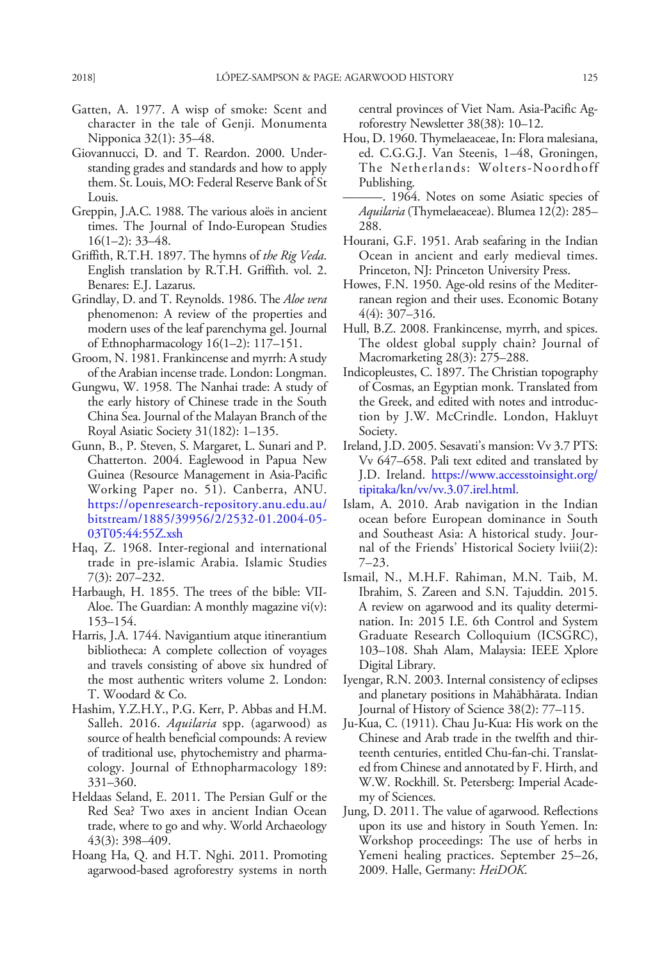- <span id="page-18-0"></span>Gatten, A. 1977. A wisp of smoke: Scent and character in the tale of Genji. Monumenta Nipponica 32(1): 35–48.
- Giovannucci, D. and T. Reardon. 2000. Understanding grades and standards and how to apply them. St. Louis, MO: Federal Reserve Bank of St Louis.
- Greppin, J.A.C. 1988. The various aloës in ancient times. The Journal of Indo-European Studies  $16(1-2): 33-48.$
- Griffith, R.T.H. 1897. The hymns of the Rig Veda. English translation by R.T.H. Griffith. vol. 2. Benares: E.J. Lazarus.
- Grindlay, D. and T. Reynolds. 1986. The Aloe vera phenomenon: A review of the properties and modern uses of the leaf parenchyma gel. Journal of Ethnopharmacology 16(1–2): 117–151.
- Groom, N. 1981. Frankincense and myrrh: A study of the Arabian incense trade. London: Longman.
- Gungwu, W. 1958. The Nanhai trade: A study of the early history of Chinese trade in the South China Sea. Journal of the Malayan Branch of the Royal Asiatic Society 31(182): 1–135.
- Gunn, B., P. Steven, S. Margaret, L. Sunari and P. Chatterton. 2004. Eaglewood in Papua New Guinea (Resource Management in Asia-Pacific Working Paper no. 51). Canberra, ANU. [https://openresearch-repository.anu.edu.au/](https://openresearch-repository.anu.edu.au/bitstream/1885/39956/2/2532-01.2004-05-03T05:44:55Z.xsh) [bitstream/1885/39956/2/2532-01.2004-05-](https://openresearch-repository.anu.edu.au/bitstream/1885/39956/2/2532-01.2004-05-03T05:44:55Z.xsh) [03T05:44:55Z.xsh](https://openresearch-repository.anu.edu.au/bitstream/1885/39956/2/2532-01.2004-05-03T05:44:55Z.xsh)
- Haq, Z. 1968. Inter-regional and international trade in pre-islamic Arabia. Islamic Studies 7(3): 207–232.
- Harbaugh, H. 1855. The trees of the bible: VII-Aloe. The Guardian: A monthly magazine vi(v): 153–154.
- Harris, J.A. 1744. Navigantium atque itinerantium bibliotheca: A complete collection of voyages and travels consisting of above six hundred of the most authentic writers volume 2. London: T. Woodard & Co.
- Hashim, Y.Z.H.Y., P.G. Kerr, P. Abbas and H.M. Salleh. 2016. *Aquilaria* spp. (agarwood) as source of health beneficial compounds: A review of traditional use, phytochemistry and pharmacology. Journal of Ethnopharmacology 189: 331–360.
- Heldaas Seland, E. 2011. The Persian Gulf or the Red Sea? Two axes in ancient Indian Ocean trade, where to go and why. World Archaeology 43(3): 398–409.
- Hoang Ha, Q. and H.T. Nghi. 2011. Promoting agarwood-based agroforestry systems in north

central provinces of Viet Nam. Asia-Pacific Agroforestry Newsletter 38(38): 10–12.

- Hou, D. 1960. Thymelaeaceae, In: Flora malesiana, ed. C.G.G.J. Van Steenis, 1–48, Groningen, The Netherlands: Wolters-Noordhoff Publishing.
- ———. 1964. Notes on some Asiatic species of Aquilaria (Thymelaeaceae). Blumea 12(2): 285– 288.
- Hourani, G.F. 1951. Arab seafaring in the Indian Ocean in ancient and early medieval times. Princeton, NJ: Princeton University Press.
- Howes, F.N. 1950. Age-old resins of the Mediterranean region and their uses. Economic Botany 4(4): 307–316.
- Hull, B.Z. 2008. Frankincense, myrrh, and spices. The oldest global supply chain? Journal of Macromarketing 28(3): 275–288.
- Indicopleustes, C. 1897. The Christian topography of Cosmas, an Egyptian monk. Translated from the Greek, and edited with notes and introduction by J.W. McCrindle. London, Hakluyt Society.
- Ireland, J.D. 2005. Sesavati's mansion: Vv 3.7 PTS: Vv 647–658. Pali text edited and translated by J.D. Ireland. [https://www.accesstoinsight.org/](https://www.accesstoinsight.org/tipitaka/kn/vv/vv.3.07.irel.html) [tipitaka/kn/vv/vv.3.07.irel.html.](https://www.accesstoinsight.org/tipitaka/kn/vv/vv.3.07.irel.html)
- Islam, A. 2010. Arab navigation in the Indian ocean before European dominance in South and Southeast Asia: A historical study. Journal of the Friends' Historical Society lviii(2): 7–23.
- Ismail, N., M.H.F. Rahiman, M.N. Taib, M. Ibrahim, S. Zareen and S.N. Tajuddin. 2015. A review on agarwood and its quality determination. In: 2015 I.E. 6th Control and System Graduate Research Colloquium (ICSGRC), 103–108. Shah Alam, Malaysia: IEEE Xplore Digital Library.
- Iyengar, R.N. 2003. Internal consistency of eclipses and planetary positions in Mahābhārata. Indian Journal of History of Science 38(2): 77–115.
- Ju-Kua, C. (1911). Chau Ju-Kua: His work on the Chinese and Arab trade in the twelfth and thirteenth centuries, entitled Chu-fan-chi. Translated from Chinese and annotated by F. Hirth, and W.W. Rockhill. St. Petersberg: Imperial Academy of Sciences.
- Jung, D. 2011. The value of agarwood. Reflections upon its use and history in South Yemen. In: Workshop proceedings: The use of herbs in Yemeni healing practices. September 25–26, 2009. Halle, Germany: HeiDOK.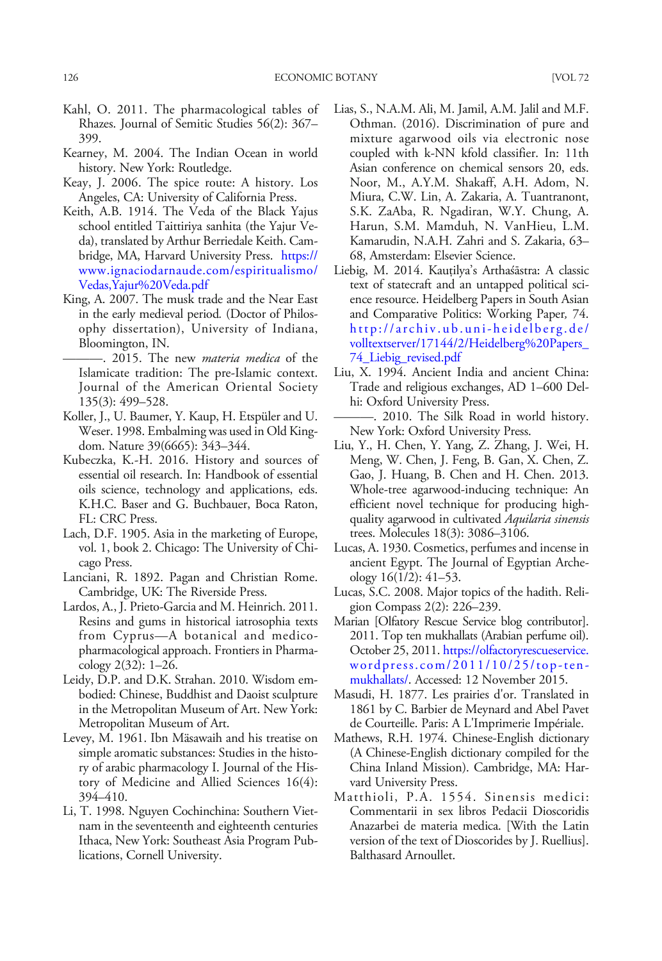- <span id="page-19-0"></span>Kahl, O. 2011. The pharmacological tables of Rhazes. Journal of Semitic Studies 56(2): 367– 399.
- Kearney, M. 2004. The Indian Ocean in world history. New York: Routledge.
- Keay, J. 2006. The spice route: A history. Los Angeles, CA: University of California Press.
- Keith, A.B. 1914. The Veda of the Black Yajus school entitled Taittiriya sanhita (the Yajur Veda), translated by Arthur Berriedale Keith. Cambridge, MA, Harvard University Press. [https://](https://www.ignaciodarnaude.com/espiritualismo/Vedas,Yajur%20Veda.pdf) [www.ignaciodarnaude.com/espiritualismo/](https://www.ignaciodarnaude.com/espiritualismo/Vedas,Yajur%20Veda.pdf) [Vedas,Yajur%20Veda.pdf](https://www.ignaciodarnaude.com/espiritualismo/Vedas,Yajur%20Veda.pdf)
- King, A. 2007. The musk trade and the Near East in the early medieval period. (Doctor of Philosophy dissertation), University of Indiana, Bloomington, IN.
	- -. 2015. The new *materia medica* of the Islamicate tradition: The pre-Islamic context. Journal of the American Oriental Society 135(3): 499–528.
- Koller, J., U. Baumer, Y. Kaup, H. Etspüler and U. Weser. 1998. Embalming was used in Old Kingdom. Nature 39(6665): 343–344.
- Kubeczka, K.-H. 2016. History and sources of essential oil research. In: Handbook of essential oils science, technology and applications, eds. K.H.C. Baser and G. Buchbauer, Boca Raton, FL: CRC Press.
- Lach, D.F. 1905. Asia in the marketing of Europe, vol. 1, book 2. Chicago: The University of Chicago Press.
- Lanciani, R. 1892. Pagan and Christian Rome. Cambridge, UK: The Riverside Press.
- Lardos, A., J. Prieto-Garcia and M. Heinrich. 2011. Resins and gums in historical iatrosophia texts from Cyprus—A botanical and medicopharmacological approach. Frontiers in Pharmacology 2(32): 1–26.
- Leidy, D.P. and D.K. Strahan. 2010. Wisdom embodied: Chinese, Buddhist and Daoist sculpture in the Metropolitan Museum of Art. New York: Metropolitan Museum of Art.
- Levey, M. 1961. Ibn Mäsawaih and his treatise on simple aromatic substances: Studies in the history of arabic pharmacology I. Journal of the History of Medicine and Allied Sciences 16(4): 394–410.
- Li, T. 1998. Nguyen Cochinchina: Southern Vietnam in the seventeenth and eighteenth centuries Ithaca, New York: Southeast Asia Program Publications, Cornell University.
- Lias, S., N.A.M. Ali, M. Jamil, A.M. Jalil and M.F. Othman. (2016). Discrimination of pure and mixture agarwood oils via electronic nose coupled with k-NN kfold classifier. In: 11th Asian conference on chemical sensors 20, eds. Noor, M., A.Y.M. Shakaff, A.H. Adom, N. Miura, C.W. Lin, A. Zakaria, A. Tuantranont, S.K. ZaAba, R. Ngadiran, W.Y. Chung, A. Harun, S.M. Mamduh, N. VanHieu, L.M. Kamarudin, N.A.H. Zahri and S. Zakaria, 63– 68, Amsterdam: Elsevier Science.
- Liebig, M. 2014. Kauṭilya's Arthaśāstra: A classic text of statecraft and an untapped political science resource. Heidelberg Papers in South Asian and Comparative Politics: Working Paper, 74. [http://archiv.ub.uni-heidelberg.de/](http://archiv.ub.uni-heidelberg.de/volltextserver/17144/2/Heidelberg%20Papers_74_Liebig_revised.pdf) [volltextserver/17144/2/Heidelberg%20Papers\\_](http://archiv.ub.uni-heidelberg.de/volltextserver/17144/2/Heidelberg%20Papers_74_Liebig_revised.pdf) [74\\_Liebig\\_revised.pdf](http://archiv.ub.uni-heidelberg.de/volltextserver/17144/2/Heidelberg%20Papers_74_Liebig_revised.pdf)
- Liu, X. 1994. Ancient India and ancient China: Trade and religious exchanges, AD 1–600 Delhi: Oxford University Press.
	- ———. 2010. The Silk Road in world history. New York: Oxford University Press.
- Liu, Y., H. Chen, Y. Yang, Z. Zhang, J. Wei, H. Meng, W. Chen, J. Feng, B. Gan, X. Chen, Z. Gao, J. Huang, B. Chen and H. Chen. 2013. Whole-tree agarwood-inducing technique: An efficient novel technique for producing highquality agarwood in cultivated Aquilaria sinensis trees. Molecules 18(3): 3086–3106.
- Lucas, A. 1930. Cosmetics, perfumes and incense in ancient Egypt. The Journal of Egyptian Archeology 16(1/2): 41–53.
- Lucas, S.C. 2008. Major topics of the hadith. Religion Compass 2(2): 226–239.
- Marian [Olfatory Rescue Service blog contributor]. 2011. Top ten mukhallats (Arabian perfume oil). October 25, 2011. [https://olfactoryrescueservice.](https://olfactoryrescueservice.wordpress.com/2011/10/25/top-ten-mukhallats/) [wordpress.com/2011/10/25/top-ten](https://olfactoryrescueservice.wordpress.com/2011/10/25/top-ten-mukhallats/)[mukhallats/](https://olfactoryrescueservice.wordpress.com/2011/10/25/top-ten-mukhallats/). Accessed: 12 November 2015.
- Masudi, H. 1877. Les prairies d'or. Translated in 1861 by C. Barbier de Meynard and Abel Pavet de Courteille. Paris: A L'Imprimerie Impériale.
- Mathews, R.H. 1974. Chinese-English dictionary (A Chinese-English dictionary compiled for the China Inland Mission). Cambridge, MA: Harvard University Press.
- Matthioli, P.A. 1554. Sinensis medici: Commentarii in sex libros Pedacii Dioscoridis Anazarbei de materia medica. [With the Latin version of the text of Dioscorides by J. Ruellius]. Balthasard Arnoullet.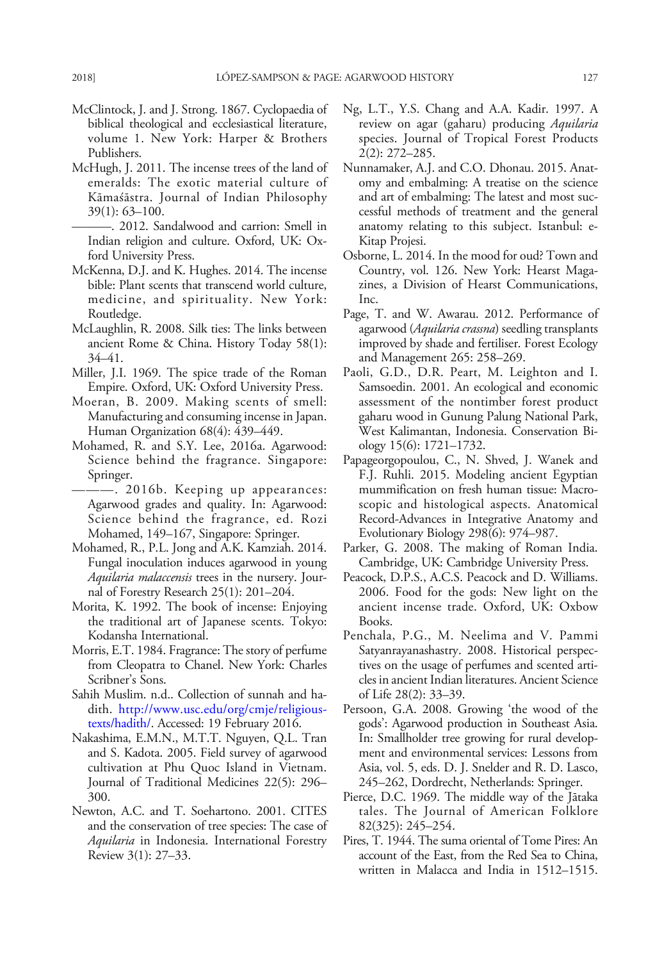- <span id="page-20-0"></span>McClintock, J. and J. Strong. 1867. Cyclopaedia of biblical theological and ecclesiastical literature, volume 1. New York: Harper & Brothers Publishers.
- McHugh, J. 2011. The incense trees of the land of emeralds: The exotic material culture of Kāmaśāstra. Journal of Indian Philosophy 39(1): 63–100.
	- ———. 2012. Sandalwood and carrion: Smell in Indian religion and culture. Oxford, UK: Oxford University Press.
- McKenna, D.J. and K. Hughes. 2014. The incense bible: Plant scents that transcend world culture, medicine, and spirituality. New York: Routledge.
- McLaughlin, R. 2008. Silk ties: The links between ancient Rome & China. History Today 58(1): 34–41.
- Miller, J.I. 1969. The spice trade of the Roman Empire. Oxford, UK: Oxford University Press.
- Moeran, B. 2009. Making scents of smell: Manufacturing and consuming incense in Japan. Human Organization 68(4): 439–449.
- Mohamed, R. and S.Y. Lee, 2016a. Agarwood: Science behind the fragrance. Singapore: Springer.
	- ———. 2016b. Keeping up appearances: Agarwood grades and quality. In: Agarwood: Science behind the fragrance, ed. Rozi Mohamed, 149–167, Singapore: Springer.
- Mohamed, R., P.L. Jong and A.K. Kamziah. 2014. Fungal inoculation induces agarwood in young Aquilaria malaccensis trees in the nursery. Journal of Forestry Research 25(1): 201–204.
- Morita, K. 1992. The book of incense: Enjoying the traditional art of Japanese scents. Tokyo: Kodansha International.
- Morris, E.T. 1984. Fragrance: The story of perfume from Cleopatra to Chanel. New York: Charles Scribner's Sons.
- Sahih Muslim. n.d.. Collection of sunnah and hadith. [http://www.usc.edu/org/cmje/religious](http://www.usc.edu/org/cmje/religious-texts/hadith/)[texts/hadith/](http://www.usc.edu/org/cmje/religious-texts/hadith/). Accessed: 19 February 2016.
- Nakashima, E.M.N., M.T.T. Nguyen, Q.L. Tran and S. Kadota. 2005. Field survey of agarwood cultivation at Phu Quoc Island in Vietnam. Journal of Traditional Medicines 22(5): 296– 300.
- Newton, A.C. and T. Soehartono. 2001. CITES and the conservation of tree species: The case of Aquilaria in Indonesia. International Forestry Review 3(1): 27–33.
- Ng, L.T., Y.S. Chang and A.A. Kadir. 1997. A review on agar (gaharu) producing Aquilaria species. Journal of Tropical Forest Products 2(2): 272–285.
- Nunnamaker, A.J. and C.O. Dhonau. 2015. Anatomy and embalming: A treatise on the science and art of embalming: The latest and most successful methods of treatment and the general anatomy relating to this subject. Istanbul: e-Kitap Projesi.
- Osborne, L. 2014. In the mood for oud? Town and Country, vol. 126. New York: Hearst Magazines, a Division of Hearst Communications, Inc.
- Page, T. and W. Awarau. 2012. Performance of agarwood (Aquilaria crassna) seedling transplants improved by shade and fertiliser. Forest Ecology and Management 265: 258–269.
- Paoli, G.D., D.R. Peart, M. Leighton and I. Samsoedin. 2001. An ecological and economic assessment of the nontimber forest product gaharu wood in Gunung Palung National Park, West Kalimantan, Indonesia. Conservation Biology 15(6): 1721–1732.
- Papageorgopoulou, C., N. Shved, J. Wanek and F.J. Ruhli. 2015. Modeling ancient Egyptian mummification on fresh human tissue: Macroscopic and histological aspects. Anatomical Record-Advances in Integrative Anatomy and Evolutionary Biology 298(6): 974–987.
- Parker, G. 2008. The making of Roman India. Cambridge, UK: Cambridge University Press.
- Peacock, D.P.S., A.C.S. Peacock and D. Williams. 2006. Food for the gods: New light on the ancient incense trade. Oxford, UK: Oxbow Books.
- Penchala, P.G., M. Neelima and V. Pammi Satyanrayanashastry. 2008. Historical perspectives on the usage of perfumes and scented articles in ancient Indian literatures. Ancient Science of Life 28(2): 33–39.
- Persoon, G.A. 2008. Growing 'the wood of the gods': Agarwood production in Southeast Asia. In: Smallholder tree growing for rural development and environmental services: Lessons from Asia, vol. 5, eds. D. J. Snelder and R. D. Lasco, 245–262, Dordrecht, Netherlands: Springer.
- Pierce, D.C. 1969. The middle way of the Jātaka tales. The Journal of American Folklore 82(325): 245–254.
- Pires, T. 1944. The suma oriental of Tome Pires: An account of the East, from the Red Sea to China, written in Malacca and India in 1512–1515.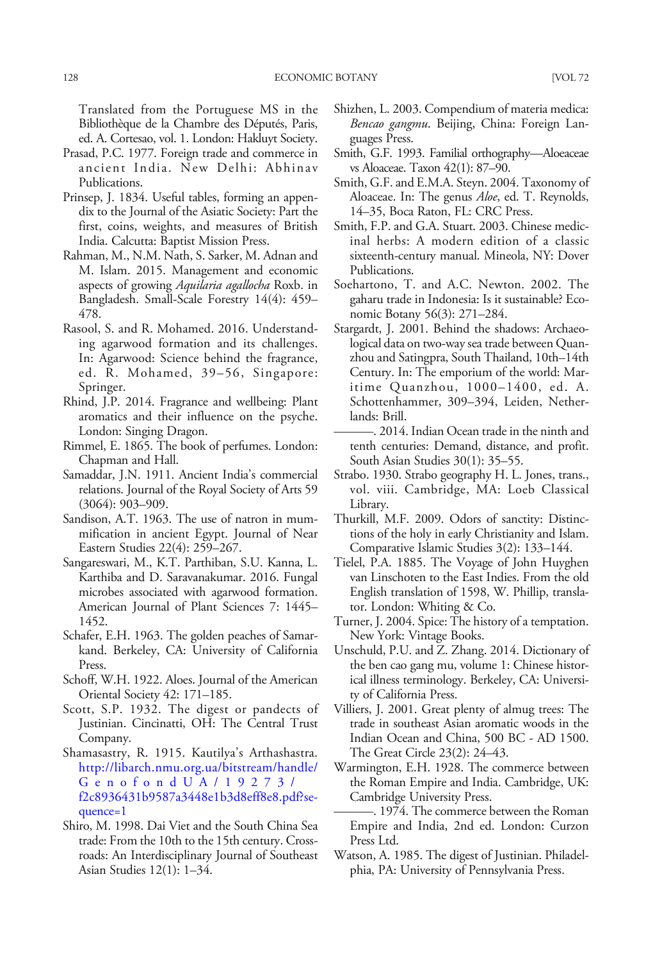<span id="page-21-0"></span>Translated from the Portuguese MS in the Bibliothèque de la Chambre des Députés, Paris, ed. A. Cortesao, vol. 1. London: Hakluyt Society.

- Prasad, P.C. 1977. Foreign trade and commerce in ancient India. New Delhi: Abhinav Publications.
- Prinsep, J. 1834. Useful tables, forming an appendix to the Journal of the Asiatic Society: Part the first, coins, weights, and measures of British India. Calcutta: Baptist Mission Press.
- Rahman, M., N.M. Nath, S. Sarker, M. Adnan and M. Islam. 2015. Management and economic aspects of growing Aquilaria agallocha Roxb. in Bangladesh. Small-Scale Forestry 14(4): 459– 478.
- Rasool, S. and R. Mohamed. 2016. Understanding agarwood formation and its challenges. In: Agarwood: Science behind the fragrance, ed. R. Mohamed, 39–56, Singapore: Springer.
- Rhind, J.P. 2014. Fragrance and wellbeing: Plant aromatics and their influence on the psyche. London: Singing Dragon.
- Rimmel, E. 1865. The book of perfumes. London: Chapman and Hall.
- Samaddar, J.N. 1911. Ancient India's commercial relations. Journal of the Royal Society of Arts 59 (3064): 903–909.
- Sandison, A.T. 1963. The use of natron in mummification in ancient Egypt. Journal of Near Eastern Studies 22(4): 259–267.
- Sangareswari, M., K.T. Parthiban, S.U. Kanna, L. Karthiba and D. Saravanakumar. 2016. Fungal microbes associated with agarwood formation. American Journal of Plant Sciences 7: 1445– 1452.
- Schafer, E.H. 1963. The golden peaches of Samarkand. Berkeley, CA: University of California Press.
- Schoff, W.H. 1922. Aloes. Journal of the American Oriental Society 42: 171–185.
- Scott, S.P. 1932. The digest or pandects of Justinian. Cincinatti, OH: The Central Trust Company.
- Shamasastry, R. 1915. Kautilya's Arthashastra. [http://libarch.nmu.org.ua/bitstream/handle/](http://libarch.nmu.org.ua/bitstream/handle/GenofondUA/19273/f2c8936431b9587a3448e1b3d8eff8e8.pdf?sequence=1) [GenofondUA/19273/](http://libarch.nmu.org.ua/bitstream/handle/GenofondUA/19273/f2c8936431b9587a3448e1b3d8eff8e8.pdf?sequence=1) [f2c8936431b9587a3448e1b3d8eff8e8.pdf?se](http://libarch.nmu.org.ua/bitstream/handle/GenofondUA/19273/f2c8936431b9587a3448e1b3d8eff8e8.pdf?sequence=1)[quence=1](http://libarch.nmu.org.ua/bitstream/handle/GenofondUA/19273/f2c8936431b9587a3448e1b3d8eff8e8.pdf?sequence=1)
- Shiro, M. 1998. Dai Viet and the South China Sea trade: From the 10th to the 15th century. Crossroads: An Interdisciplinary Journal of Southeast Asian Studies 12(1): 1–34.
- Shizhen, L. 2003. Compendium of materia medica: Bencao gangmu. Beijing, China: Foreign Languages Press.
- Smith, G.F. 1993. Familial orthography—Aloeaceae vs Aloaceae. Taxon 42(1): 87–90.
- Smith, G.F. and E.M.A. Steyn. 2004. Taxonomy of Aloaceae. In: The genus *Aloe*, ed. T. Reynolds, 14–35, Boca Raton, FL: CRC Press.
- Smith, F.P. and G.A. Stuart. 2003. Chinese medicinal herbs: A modern edition of a classic sixteenth-century manual. Mineola, NY: Dover Publications.
- Soehartono, T. and A.C. Newton. 2002. The gaharu trade in Indonesia: Is it sustainable? Economic Botany 56(3): 271–284.
- Stargardt, J. 2001. Behind the shadows: Archaeological data on two-way sea trade between Quanzhou and Satingpra, South Thailand, 10th–14th Century. In: The emporium of the world: Maritime Quanzhou, 1000–1400, ed. A. Schottenhammer, 309–394, Leiden, Netherlands: Brill.
- ———. 2014. Indian Ocean trade in the ninth and tenth centuries: Demand, distance, and profit. South Asian Studies 30(1): 35–55.
- Strabo. 1930. Strabo geography H. L. Jones, trans., vol. viii. Cambridge, MA: Loeb Classical Library.
- Thurkill, M.F. 2009. Odors of sanctity: Distinctions of the holy in early Christianity and Islam. Comparative Islamic Studies 3(2): 133–144.
- Tielel, P.A. 1885. The Voyage of John Huyghen van Linschoten to the East Indies. From the old English translation of 1598, W. Phillip, translator. London: Whiting & Co.
- Turner, J. 2004. Spice: The history of a temptation. New York: Vintage Books.
- Unschuld, P.U. and Z. Zhang. 2014. Dictionary of the ben cao gang mu, volume 1: Chinese historical illness terminology. Berkeley, CA: University of California Press.
- Villiers, J. 2001. Great plenty of almug trees: The trade in southeast Asian aromatic woods in the Indian Ocean and China, 500 BC - AD 1500. The Great Circle 23(2): 24–43.
- Warmington, E.H. 1928. The commerce between the Roman Empire and India. Cambridge, UK: Cambridge University Press.
- ———. 1974. The commerce between the Roman Empire and India, 2nd ed. London: Curzon Press Ltd.
- Watson, A. 1985. The digest of Justinian. Philadelphia, PA: University of Pennsylvania Press.